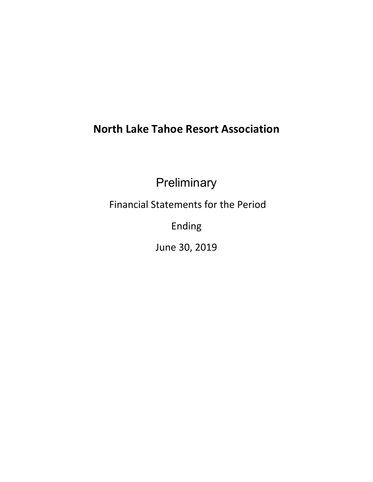# **North Lake Tahoe Resort Association**

**Preliminary** 

Financial Statements for the Period

Ending

June 30, 2019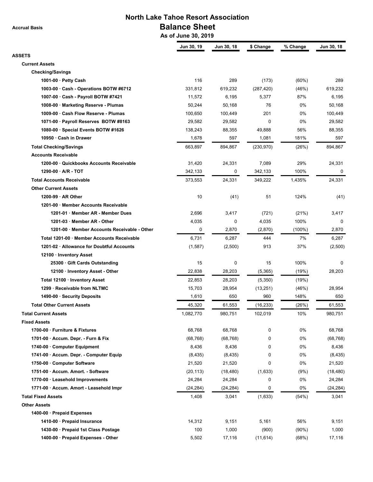**Accrual Basis**

## **North Lake Tahoe Resort Association Balance Sheet**

 **As of June 30, 2019**

|                                              | Jun 30, 19 | Jun 30, 18 | \$ Change        | % Change  | Jun 30, 18    |
|----------------------------------------------|------------|------------|------------------|-----------|---------------|
| <b>ASSETS</b>                                |            |            |                  |           |               |
| <b>Current Assets</b>                        |            |            |                  |           |               |
| <b>Checking/Savings</b>                      |            |            |                  |           |               |
| 1001-00 $\cdot$ Petty Cash                   | 116        | 289        | (173)            | (60%)     | 289           |
| 1003-00 · Cash - Operations BOTW #6712       | 331,812    | 619,232    | (287, 420)       | (46%)     | 619,232       |
| 1007-00 · Cash - Payroll BOTW #7421          | 11,572     | 6,195      | 5,377            | 87%       | 6,195         |
| 1008-00 · Marketing Reserve - Plumas         | 50,244     | 50,168     | 76               | 0%        | 50,168        |
| 1009-00 · Cash Flow Reserve - Plumas         | 100,650    | 100,449    | 201              | 0%        | 100,449       |
| 1071-00 · Payroll Reserves BOTW #8163        | 29,582     | 29,582     | $\mathbf 0$      | 0%        | 29,582        |
| 1080-00 · Special Events BOTW #1626          | 138,243    | 88,355     | 49,888           | 56%       | 88,355        |
| 10950 · Cash in Drawer                       | 1,678      | 597        | 1,081            | 181%      | 597           |
| <b>Total Checking/Savings</b>                | 663,897    | 894,867    | (230, 970)       | (26%)     | 894,867       |
| <b>Accounts Receivable</b>                   |            |            |                  |           |               |
| 1200-00 · Quickbooks Accounts Receivable     | 31,420     | 24,331     | 7,089            | 29%       | 24,331        |
| $1290-00 \cdot A/R - TOT$                    | 342,133    | 0          | 342,133          | 100%      | 0             |
| <b>Total Accounts Receivable</b>             | 373,553    | 24,331     | 349,222          | 1,435%    | 24,331        |
| <b>Other Current Assets</b>                  |            |            |                  |           |               |
| $1200-99 \cdot AR$ Other                     | 10         | (41)       | 51               | 124%      | (41)          |
| 1201-00 · Member Accounts Receivable         |            |            |                  |           |               |
| 1201-01 · Member AR - Member Dues            | 2,696      | 3,417      | (721)            | (21%)     | 3,417         |
| 1201-03 · Member AR - Other                  | 4,035      | 0          | 4,035            | 100%      | $\Omega$      |
| 1201-00 · Member Accounts Receivable - Other | 0          | 2,870      | (2,870)          | $(100\%)$ | 2,870         |
| Total 1201-00 · Member Accounts Receivable   | 6,731      | 6,287      | 444              | 7%        | 6,287         |
| 1201-02 · Allowance for Doubtful Accounts    | (1,587)    | (2,500)    | 913              | 37%       | (2,500)       |
| 12100 · Inventory Asset                      |            |            |                  |           |               |
| 25300 · Gift Cards Outstanding               | 15         | 0          | 15               | 100%      | 0             |
| 12100 · Inventory Asset - Other              | 22,838     | 28,203     | (5, 365)         | (19%)     | 28,203        |
| Total 12100 · Inventory Asset                | 22,853     | 28,203     | (5,350)          | (19%)     |               |
| 1299 · Receivable from NLTMC                 |            |            |                  |           |               |
|                                              | 15,703     | 28,954     | (13, 251)<br>960 | (46%)     | 28,954<br>650 |
| 1490-00 · Security Deposits                  | 1,610      | 650        |                  | 148%      |               |
| <b>Total Other Current Assets</b>            | 45,320     | 61,553     | (16, 233)        | (26%)     | 61,553        |
| <b>Total Current Assets</b>                  | 1,082,770  | 980,751    | 102,019          | 10%       | 980,751       |
| <b>Fixed Assets</b>                          |            |            |                  |           |               |
| 1700-00 · Furniture & Fixtures               | 68,768     | 68,768     | 0                | 0%        | 68,768        |
| 1701-00 · Accum. Depr. - Furn & Fix          | (68, 768)  | (68, 768)  | 0                | 0%        | (68, 768)     |
| 1740-00 Computer Equipment                   | 8,436      | 8,436      | 0                | 0%        | 8,436         |
| 1741-00 · Accum. Depr. - Computer Equip      | (8, 435)   | (8, 435)   | 0                | 0%        | (8, 435)      |
| 1750-00 · Computer Software                  | 21,520     | 21,520     | 0                | 0%        | 21,520        |
| 1751-00 · Accum. Amort. - Software           | (20, 113)  | (18, 480)  | (1,633)          | (9%)      | (18, 480)     |
| 1770-00 · Leasehold Improvements             | 24,284     | 24,284     | 0                | 0%        | 24,284        |
| 1771-00 · Accum. Amort - Leasehold Impr      | (24, 284)  | (24, 284)  | 0                | 0%        | (24, 284)     |
| <b>Total Fixed Assets</b>                    | 1,408      | 3,041      | (1,633)          | (54%)     | 3,041         |
| <b>Other Assets</b>                          |            |            |                  |           |               |
| 1400-00 · Prepaid Expenses                   |            |            |                  |           |               |
| 1410-00 · Prepaid Insurance                  | 14,312     | 9,151      | 5,161            | 56%       | 9,151         |
| 1430-00 · Prepaid 1st Class Postage          | 100        | 1,000      | (900)            | $(90\%)$  | 1,000         |
| 1400-00 · Prepaid Expenses - Other           | 5,502      | 17,116     | (11, 614)        | (68%)     | 17,116        |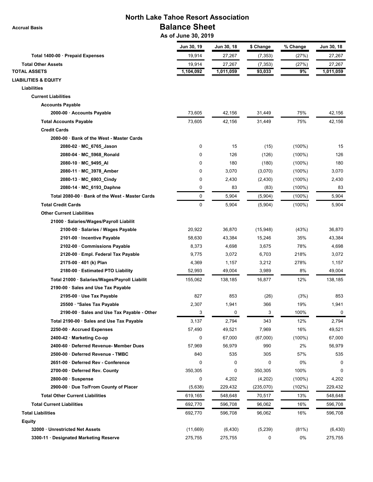**Accrual Basis**

## **North Lake Tahoe Resort Association Balance Sheet**

 **As of June 30, 2019**

| Jun 30, 19 | Jun 30, 18          | \$ Change | % Change  | Jun 30, 18 |
|------------|---------------------|-----------|-----------|------------|
| 19,914     | 27,267              | (7, 353)  | (27%)     | 27,267     |
| 19,914     | 27,267              | (7, 353)  | (27%)     | 27,267     |
| 1,104,092  | 1,011,059           | 93,033    | 9%        | 1,011,059  |
|            |                     |           |           |            |
|            |                     |           |           |            |
|            |                     |           |           |            |
|            |                     |           |           |            |
| 73,605     | 42,156              | 31,449    | 75%       | 42,156     |
| 73,605     | 42,156              | 31,449    | 75%       | 42,156     |
|            |                     |           |           |            |
|            |                     |           |           |            |
| 0          | 15                  | (15)      | $(100\%)$ | 15         |
| 0          | 126                 | (126)     | $(100\%)$ | 126        |
| 0          | 180                 | (180)     | $(100\%)$ | 180        |
| 0          | 3,070               | (3,070)   | $(100\%)$ | 3,070      |
| 0          | 2,430               | (2, 430)  | $(100\%)$ | 2,430      |
| 0          | 83                  | (83)      | $(100\%)$ | 83         |
| 0          | 5,904               | (5,904)   | $(100\%)$ | 5,904      |
| 0          | 5,904               | (5,904)   | $(100\%)$ | 5,904      |
|            |                     |           |           |            |
|            |                     |           |           |            |
| 20,922     | 36,870              | (15,948)  | (43%)     | 36,870     |
| 58,630     | 43,384              | 15,246    | 35%       | 43,384     |
| 8,373      | 4,698               | 3,675     | 78%       | 4,698      |
| 9,775      | 3,072               | 6,703     | 218%      | 3,072      |
| 4,369      | 1,157               | 3,212     | 278%      | 1,157      |
| 52,993     | 49,004              | 3,989     | 8%        | 49,004     |
| 155,062    | 138,185             | 16,877    | 12%       | 138,185    |
|            |                     |           |           |            |
| 827        | 853                 | (26)      | (3%)      | 853        |
| 2,307      | 1,941               | 366       | 19%       | 1,941      |
| 3          | 0                   | 3         | 100%      | 0          |
| 3,137      | 2,794               | 343       | 12%       | 2,794      |
| 57,490     | 49,521              | 7,969     | 16%       | 49,521     |
| 0          | 67,000              | (67,000)  | $(100\%)$ | 67,000     |
| 57,969     | 56,979              | 990       | 2%        | 56,979     |
| 840        | 535                 | 305       | 57%       | 535        |
| 0          | 0                   | 0         | 0%        | 0          |
| 350,305    | 0                   | 350,305   | 100%      | 0          |
| 0          | 4,202               | (4,202)   | $(100\%)$ | 4,202      |
| (5,638)    | 229,432             | (235,070) | (102%)    | 229,432    |
| 619,165    | 548,648             | 70,517    | 13%       | 548,648    |
|            | 596,708             | 96,062    | 16%       | 596,708    |
| 692,770    | 596,708             | 96,062    | 16%       | 596,708    |
|            |                     |           |           |            |
|            |                     |           |           | (6, 430)   |
| 275,755    | 275,755             | 0         | 0%        | 275,755    |
|            | 692,770<br>(11,669) | (6, 430)  | (5,239)   | (81%)      |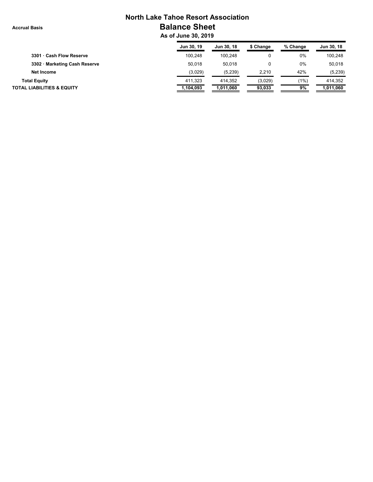## **North Lake Tahoe Resort Association Balance Sheet**

 **As of June 30, 2019**

|                                       | Jun 30, 19 | Jun 30, 18 | \$ Change | % Change | Jun 30, 18 |
|---------------------------------------|------------|------------|-----------|----------|------------|
| 3301 · Cash Flow Reserve              | 100.248    | 100.248    |           | $0\%$    | 100.248    |
| 3302 · Marketing Cash Reserve         | 50,018     | 50.018     |           | 0%       | 50.018     |
| Net Income                            | (3,029)    | (5,239)    | 2.210     | 42%      | (5,239)    |
| <b>Total Equity</b>                   | 411.323    | 414.352    | (3,029)   | $(1\%)$  | 414.352    |
| <b>TOTAL LIABILITIES &amp; EQUITY</b> | 1,104,093  | 1,011,060  | 93,033    | 9%       | 1,011,060  |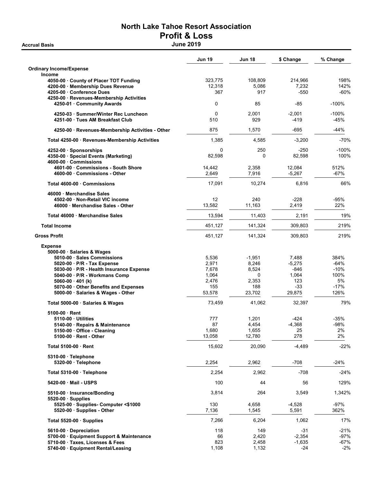# North Lake Tahoe Resort Association Profit & Loss

|                                                                                                                                                  | <b>Jun 19</b>               | <b>Jun 18</b>           | \$ Change                  | % Change               |
|--------------------------------------------------------------------------------------------------------------------------------------------------|-----------------------------|-------------------------|----------------------------|------------------------|
| <b>Ordinary Income/Expense</b><br><b>Income</b>                                                                                                  |                             |                         |                            |                        |
| 4050-00 County of Placer TOT Funding<br>4200-00 · Membership Dues Revenue<br>4205-00 Conference Dues<br>4250-00 · Revenues-Membership Activities | 323,775<br>12,318<br>367    | 108,809<br>5,086<br>917 | 214,966<br>7,232<br>$-550$ | 198%<br>142%<br>$-60%$ |
| 4250-01 Community Awards                                                                                                                         | 0                           | 85                      | $-85$                      | $-100%$                |
| 4250-03 · Summer/Winter Rec Luncheon<br>4251-00 Tues AM Breakfast Club                                                                           | $\mathbf 0$<br>510          | 2,001<br>929            | $-2,001$<br>-419           | $-100%$<br>-45%        |
| 4250-00 · Revenues-Membership Activities - Other                                                                                                 | 875                         | 1,570                   | -695                       | $-44%$                 |
| Total 4250-00 · Revenues-Membership Activities                                                                                                   | 1,385                       | 4,585                   | $-3,200$                   | $-70%$                 |
| 4252-00 Sponsorships<br>4350-00 · Special Events (Marketing)<br>4600-00 · Commissions                                                            | 0<br>82,598                 | 250<br>$\Omega$         | $-250$<br>82,598           | $-100%$<br>100%        |
| 4601-00 Commissions - South Shore<br>4600-00 Commissions - Other                                                                                 | 14,442<br>2,649             | 2,358<br>7,916          | 12,084<br>$-5,267$         | 512%<br>$-67%$         |
| Total 4600-00 · Commissions                                                                                                                      | 17,091                      | 10,274                  | 6,816                      | 66%                    |
| 46000 Merchandise Sales<br>4502-00 · Non-Retail VIC income<br>46000 · Merchandise Sales - Other                                                  | $12 \overline{ }$<br>13,582 | 240<br>11,163           | $-228$<br>2,419            | -95%<br>22%            |
| Total 46000 Merchandise Sales                                                                                                                    | 13,594                      | 11,403                  | 2,191                      | 19%                    |
| <b>Total Income</b>                                                                                                                              | 451,127                     | 141,324                 | 309,803                    | 219%                   |
| <b>Gross Profit</b>                                                                                                                              | 451,127                     | 141,324                 | 309,803                    | 219%                   |
| <b>Expense</b><br>5000-00 · Salaries & Wages                                                                                                     |                             |                         |                            |                        |
| 5010-00 · Sales Commissions                                                                                                                      | 5,536                       | $-1,951$                | 7,488                      | 384%                   |
| 5020-00 · P/R - Tax Expense                                                                                                                      | 2,971                       | 8,246                   | $-5,275$                   | $-64%$                 |
| 5030-00 · P/R - Health Insurance Expense                                                                                                         | 7,678                       | 8,524                   | $-846$                     | $-10%$                 |
| 5040-00 · P/R - Workmans Comp                                                                                                                    | 1,064                       | 0                       | 1,064                      | 100%                   |
| $5060-00 \cdot 401$ (k)                                                                                                                          | 2,476                       | 2,353                   | 123                        | 5%                     |
| 5070-00 Other Benefits and Expenses                                                                                                              | 155                         | 188                     | $-33$                      | $-17%$                 |
| 5000-00 Salaries & Wages - Other                                                                                                                 | 53,578                      | 23,702                  | 29,875                     | 126%                   |
| Total 5000-00 · Salaries & Wages                                                                                                                 | 73,459                      | 41,062                  | 32,397                     | 79%                    |
| 5100-00 Rent                                                                                                                                     |                             |                         |                            |                        |
| 5110-00 Utilities                                                                                                                                | 777                         | 1,201                   | $-424$                     | $-35%$                 |
| 5140-00 · Repairs & Maintenance                                                                                                                  | 87                          | 4,454                   | $-4,368$                   | -98%                   |
| 5150-00 · Office - Cleaning                                                                                                                      | 1,680                       | 1,655                   | 25                         | 2%                     |
| 5100-00 · Rent - Other                                                                                                                           | 13,058                      | 12,780                  | 278                        | 2%                     |
| Total 5100-00 · Rent                                                                                                                             | 15,602                      | 20,090                  | $-4,489$                   | $-22%$                 |
| 5310-00 · Telephone<br>5320-00 · Telephone                                                                                                       | 2,254                       | 2,962                   | $-708$                     | $-24%$                 |
| Total 5310-00 · Telephone                                                                                                                        | 2,254                       | 2,962                   | $-708$                     | $-24%$                 |
| 5420-00 Mail - USPS                                                                                                                              | 100                         | 44                      | 56                         | 129%                   |
| 5510-00 · Insurance/Bonding                                                                                                                      | 3,814                       | 264                     | 3,549                      | 1,342%                 |
| $5520-00$ · Supplies                                                                                                                             |                             |                         |                            |                        |
| 5525-00 · Supplies- Computer <\$1000                                                                                                             | 130                         | 4,658                   | $-4,528$                   | $-97%$                 |
| 5520-00 · Supplies - Other                                                                                                                       | 7,136                       | 1,545                   | 5,591                      | 362%                   |
| Total $5520-00$ · Supplies                                                                                                                       | 7,266                       | 6,204                   | 1,062                      | 17%                    |
| 5610-00 Depreciation                                                                                                                             | 118                         | 149                     | $-31$                      | $-21%$                 |
| 5700-00 · Equipment Support & Maintenance                                                                                                        | 66<br>823                   | 2,420                   | $-2,354$                   | $-97%$                 |
| 5710-00 · Taxes, Licenses & Fees                                                                                                                 |                             | 2,458                   | $-1,635$                   | -67%                   |
| 5740-00 · Equipment Rental/Leasing                                                                                                               | 1,108                       | 1,132                   | $-24$                      | $-2%$                  |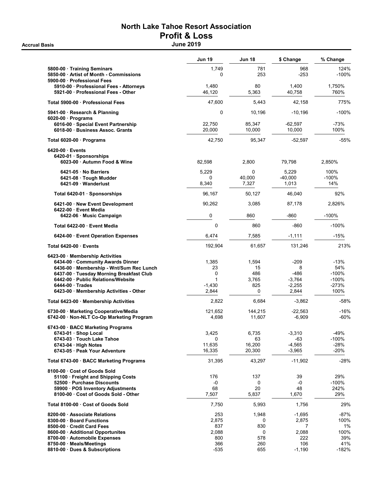# North Lake Tahoe Resort Association Profit & Loss

|                                                                                               | Jun 19            | Jun 18            | \$ Change             | % Change         |
|-----------------------------------------------------------------------------------------------|-------------------|-------------------|-----------------------|------------------|
| 5800-00 · Training Seminars<br>5850-00 · Artist of Month - Commissions                        | 1,749<br>0        | 781<br>253        | 968<br>$-253$         | 124%<br>$-100%$  |
| 5900-00 · Professional Fees                                                                   |                   |                   |                       |                  |
| 5910-00 · Professional Fees - Attorneys<br>5921-00 Professional Fees - Other                  | 1,480<br>46,120   | 80<br>5,363       | 1,400<br>40,758       | 1.750%<br>760%   |
| Total 5900-00 Professional Fees                                                               | 47,600            | 5,443             | 42,158                | 775%             |
| 5941-00 · Research & Planning                                                                 | 0                 | 10,196            | $-10,196$             | $-100%$          |
| $6020-00$ · Programs<br>6016-00 · Special Event Partnership<br>6018-00 Business Assoc. Grants | 22,750<br>20,000  | 85,347<br>10,000  | $-62,597$<br>10,000   | $-73%$<br>100%   |
| Total 6020-00 · Programs                                                                      | 42,750            | 95,347            | $-52,597$             | $-55%$           |
| 6420-00 Events<br>6420-01 Sponsorships<br>6023-00 Autumn Food & Wine                          | 82,598            | 2,800             | 79,798                | 2,850%           |
|                                                                                               |                   |                   |                       |                  |
| 6421-05 No Barriers<br>6421-08 Tough Mudder                                                   | 5,229<br>0        | 0<br>40.000       | 5,229<br>$-40,000$    | 100%<br>$-100%$  |
| 6421-09 Wanderlust                                                                            | 8,340             | 7,327             | 1,013                 | 14%              |
| Total 6420-01 · Sponsorships                                                                  | 96,167            | 50,127            | 46,040                | 92%              |
| 6421-00 New Event Development                                                                 | 90,262            | 3,085             | 87,178                | 2,826%           |
| 6422-00 Event Media<br>6422-06 Music Campaign                                                 | 0                 | 860               | $-860$                | $-100%$          |
| Total 6422-00 Event Media                                                                     | $\mathbf{0}$      | 860               | $-860$                | $-100%$          |
| 6424-00 Event Operation Expenses                                                              | 6,474             | 7,585             | $-1,111$              | $-15%$           |
| Total 6420-00 Events                                                                          | 192,904           | 61,657            | 131,246               | 213%             |
| 6423-00 Membership Activities                                                                 |                   |                   |                       |                  |
| 6434-00 · Community Awards Dinner                                                             | 1,385             | 1,594             | $-209$                | $-13%$           |
| 6436-00 Membership - Wnt/Sum Rec Lunch                                                        | 23                | 15                | 8                     | 54%              |
| 6437-00 · Tuesday Morning Breakfast Club                                                      | $\mathbf 0$       | 486               | $-486$                | $-100%$          |
| 6442-00 - Public Relations/Website                                                            | 1                 | 3,765             | $-3,764$              | $-100%$          |
| 6444-00 Trades<br>6423-00 · Membership Activities - Other                                     | $-1,430$<br>2,844 | 825<br>0          | $-2,255$<br>2,844     | $-273%$<br>100%  |
|                                                                                               | 2,822             | 6,684             | $-3,862$              | $-58%$           |
| Total 6423-00 · Membership Activities                                                         |                   |                   |                       |                  |
| 6730-00 · Marketing Cooperative/Media<br>6742-00 · Non-NLT Co-Op Marketing Program            | 121,652<br>4,698  | 144,215<br>11,607 | $-22,563$<br>$-6,909$ | $-16%$<br>$-60%$ |
|                                                                                               |                   |                   |                       |                  |
| 6743-00 · BACC Marketing Programs                                                             |                   |                   |                       |                  |
| 6743-01 · Shop Local                                                                          | 3,425             | 6,735             | $-3,310$              | -49%<br>$-100%$  |
| 6743-03 · Touch Lake Tahoe<br>6743-04 · High Notes                                            | 0<br>11.635       | 63<br>16,200      | -63<br>$-4,565$       | $-28%$           |
| 6743-05 · Peak Your Adventure                                                                 | 16,335            | 20,300            | $-3,965$              | $-20%$           |
| Total 6743-00 · BACC Marketing Programs                                                       | 31,395            | 43,297            | $-11,902$             | $-28%$           |
| 8100-00 Cost of Goods Sold                                                                    |                   |                   |                       |                  |
| 51100 · Freight and Shipping Costs                                                            | 176               | 137               | 39                    | 29%              |
| 52500 Purchase Discounts                                                                      | -0                | 0                 | -0                    | $-100%$          |
| 59900 · POS Inventory Adjustments                                                             | 68                | 20                | 48                    | 242%             |
| 8100-00 Cost of Goods Sold - Other                                                            | 7,507             | 5,837             | 1,670                 | 29%              |
| Total 8100-00 Cost of Goods Sold                                                              | 7,750             | 5,993             | 1,756                 | 29%              |
| 8200-00 Associate Relations                                                                   | 253               | 1,948             | $-1,695$              | -87%             |
| 8300-00 · Board Functions                                                                     | 2,875             | 0                 | 2,875                 | 100%             |
| 8500-00 Credit Card Fees                                                                      | 837               | 830               | 7                     | 1%               |
| 8600-00 · Additional Opportunites                                                             | 2,088             | 0                 | 2,088                 | 100%             |
| 8700-00 · Automobile Expenses                                                                 | 800               | 578               | 222<br>106            | 39%<br>41%       |
| 8750-00 Meals/Meetings                                                                        | 366               | 260               |                       |                  |
| 8810-00 Dues & Subscriptions                                                                  | $-535$            | 655               | $-1,190$              | $-182%$          |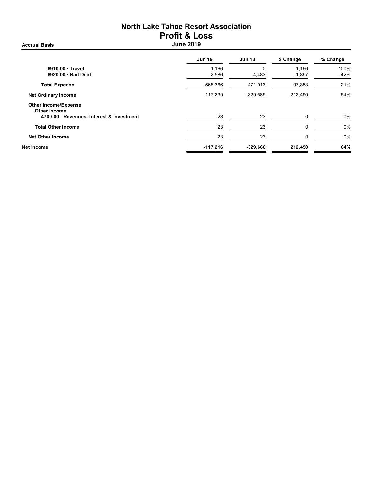# North Lake Tahoe Resort Association Profit & Loss

Jun 19 Jun 18 \$ Change % Change 8910-00 · Travel 1,166 0 1,166 100%  $8920-00 \cdot$  Bad Debt Total Expense 21% **100 and 568,366** 568,366 568,366 568,366 568,366 57,353 21% Net Ordinary Income 64% **Net Ordinary Income** 64% **CONSUMING A SAMPLE 117,239** -329,689 212,450 64% Other Income/Expense Other Income 4700-00 · Revenues- Interest & Investment 23 23 23 0 0% Total Other Income 23 23 0 0% Net Other Income 23 23 0 0% Net Income -117,216 -329,666 212,450 64%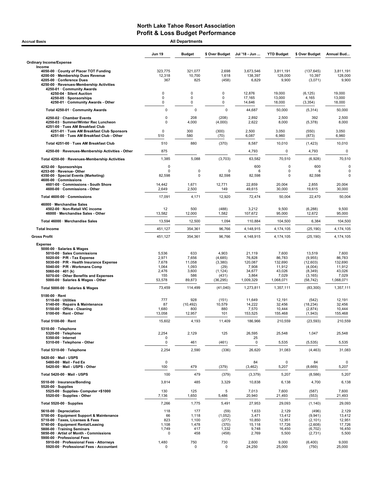| <b>Accrual Basis</b>                                                                                                                                                                                                                                                                                    | <b>All Departments</b>                                     |                                                           |                                                                       |                                                                      |                                                                      |                                                                               |                                                                      |  |
|---------------------------------------------------------------------------------------------------------------------------------------------------------------------------------------------------------------------------------------------------------------------------------------------------------|------------------------------------------------------------|-----------------------------------------------------------|-----------------------------------------------------------------------|----------------------------------------------------------------------|----------------------------------------------------------------------|-------------------------------------------------------------------------------|----------------------------------------------------------------------|--|
|                                                                                                                                                                                                                                                                                                         | <b>Jun 19</b>                                              | <b>Budget</b>                                             | \$ Over Budget                                                        | Jul '18 - Jun                                                        | <b>YTD Budget</b>                                                    | \$ Over Budget                                                                | Annual Bud                                                           |  |
| <b>Ordinary Income/Expense</b>                                                                                                                                                                                                                                                                          |                                                            |                                                           |                                                                       |                                                                      |                                                                      |                                                                               |                                                                      |  |
| Income<br>4050-00 County of Placer TOT Funding<br>4200-00 · Membership Dues Revenue<br>4205-00 · Conference Dues<br>4250-00 · Revenues-Membership Activities                                                                                                                                            | 323,775<br>12,318<br>367                                   | 321,077<br>10,700<br>825                                  | 2,698<br>1,618<br>(458)                                               | 3,673,546<br>138,397<br>6,829                                        | 3,811,191<br>128,000<br>9,900                                        | (137, 645)<br>10,397<br>(3,071)                                               | 3,811,191<br>128,000<br>9,900                                        |  |
| 4250-01 · Community Awards<br>4250-04 · Silent Auction<br>4250-05 · Sponsorships                                                                                                                                                                                                                        | 0<br>0                                                     | 0<br>0                                                    | 0<br>0                                                                | 12,876<br>17,165                                                     | 19,000<br>13,000                                                     | (6, 125)<br>4,165                                                             | 19,000<br>13,000                                                     |  |
| 4250-01 Community Awards - Other                                                                                                                                                                                                                                                                        | 0                                                          | 0                                                         | 0                                                                     | 14,646                                                               | 18,000                                                               | (3, 354)                                                                      | 18,000                                                               |  |
| Total 4250-01 · Community Awards                                                                                                                                                                                                                                                                        | $\mathbf 0$                                                | 0                                                         | $\mathbf 0$                                                           | 44,687                                                               | 50,000                                                               | (5,314)                                                                       | 50,000                                                               |  |
| 4250-02 · Chamber Events<br>4250-03 · Summer/Winter Rec Luncheon<br>4251-00 · Tues AM Breakfast Club                                                                                                                                                                                                    | $\mathbf 0$<br>$\mathbf 0$                                 | 208<br>4,000                                              | (208)<br>(4,000)                                                      | 2,892<br>2,622                                                       | 2,500<br>8,000                                                       | 392<br>(5,378)                                                                | 2,500<br>8,000                                                       |  |
| 4251-01 · Tues AM Breakfast Club Sponsors<br>4251-00 · Tues AM Breakfast Club - Other                                                                                                                                                                                                                   | 0<br>510                                                   | 300<br>580                                                | (300)<br>(70)                                                         | 2,500<br>6,087                                                       | 3,050<br>6,960                                                       | (550)<br>(873)                                                                | 3,050<br>6,960                                                       |  |
| Total 4251-00 · Tues AM Breakfast Club                                                                                                                                                                                                                                                                  | 510                                                        | 880                                                       | (370)                                                                 | 8,587                                                                | 10,010                                                               | (1, 423)                                                                      | 10,010                                                               |  |
| 4250-00 · Revenues-Membership Activities - Other                                                                                                                                                                                                                                                        | 875                                                        |                                                           |                                                                       | 4,793                                                                | 0                                                                    | 4,793                                                                         | 0                                                                    |  |
| Total 4250-00 · Revenues-Membership Activities                                                                                                                                                                                                                                                          | 1,385                                                      | 5,088                                                     | (3,703)                                                               | 63,582                                                               | 70,510                                                               | (6,928)                                                                       | 70,510                                                               |  |
| 4252-00 · Sponsorships                                                                                                                                                                                                                                                                                  | 0                                                          |                                                           |                                                                       | 600                                                                  | 0                                                                    | 600                                                                           | 0                                                                    |  |
| 4253-00 · Revenue-Other<br>4350-00 · Special Events (Marketing)<br>4600-00 Commissions                                                                                                                                                                                                                  | $\mathbf 0$<br>82,598                                      | 0<br>0                                                    | 0<br>82,598                                                           | 6<br>82,598                                                          | 0<br>0                                                               | 6<br>82,598                                                                   | $\mathbf 0$<br>$\mathbf 0$                                           |  |
| 4601-00 Commissions - South Shore<br>4600-00 Commissions - Other                                                                                                                                                                                                                                        | 14,442<br>2,649                                            | 1,671<br>2,500                                            | 12,771<br>149                                                         | 22,859<br>49,615                                                     | 20,004<br>30,000                                                     | 2,855<br>19,615                                                               | 20,004<br>30,000                                                     |  |
| Total 4600-00 · Commissions                                                                                                                                                                                                                                                                             | 17,091                                                     | 4,171                                                     | 12,920                                                                | 72,474                                                               | 50,004                                                               | 22,470                                                                        | 50,004                                                               |  |
| 46000 · Merchandise Sales<br>4502-00 · Non-Retail VIC income<br>46000 · Merchandise Sales - Other                                                                                                                                                                                                       | 12<br>13,582                                               | 500<br>12,000                                             | (488)<br>1,582                                                        | 3,212<br>107,672                                                     | 9,500<br>95,000                                                      | (6, 288)<br>12,672                                                            | 9,500<br>95,000                                                      |  |
| Total 46000 · Merchandise Sales                                                                                                                                                                                                                                                                         | 13,594                                                     | 12,500                                                    | 1,094                                                                 | 110,884                                                              | 104,500                                                              | 6,384                                                                         | 104,500                                                              |  |
| <b>Total Income</b>                                                                                                                                                                                                                                                                                     | 451,127                                                    | 354,361                                                   | 96,766                                                                | 4,148,915                                                            | 4,174,105                                                            | (25, 190)                                                                     | 4,174,105                                                            |  |
| <b>Gross Profit</b>                                                                                                                                                                                                                                                                                     | 451,127                                                    | 354,361                                                   | 96,766                                                                | 4,148,915                                                            | 4,174,105                                                            | (25, 190)                                                                     | 4,174,105                                                            |  |
| <b>Expense</b><br>5000-00 · Salaries & Wages<br>5010-00 · Sales Commissions<br>5020-00 $\cdot$ P/R - Tax Expense<br>5030-00 · P/R - Health Insurance Expense<br>5040-00 · P/R - Workmans Comp<br>5060-00 $\cdot$ 401 (k)<br>5070-00 · Other Benefits and Expenses<br>5000-00 · Salaries & Wages - Other | 5,536<br>2,971<br>7,678<br>1,064<br>2,476<br>155<br>53,578 | 633<br>7,656<br>11,058<br>1,093<br>3,600<br>586<br>89,873 | 4,903<br>(4,685)<br>(3,380)<br>(29)<br>(1, 124)<br>(431)<br>(36, 295) | 21,119<br>76,828<br>120,087<br>7,908<br>34,677<br>3,864<br>1,009,329 | 7,600<br>86,783<br>132,690<br>11,912<br>43,026<br>7,029<br>1,068,071 | 13,519<br>(9,955)<br>(12,603)<br>(4,004)<br>(8, 349)<br>(3, 165)<br>(58, 742) | 7,600<br>86,783<br>132,690<br>11,912<br>43,026<br>7,029<br>1,068,071 |  |
| Total 5000-00 · Salaries & Wages                                                                                                                                                                                                                                                                        | 73,459                                                     | 114,499                                                   | (41,040)                                                              | 1,273,811                                                            | 1,357,111                                                            | (83, 300)                                                                     | 1,357,111                                                            |  |
| $5100-00 \cdot$ Rent<br>$5110-00 \cdot$ Utilities<br>5140-00 · Repairs & Maintenance<br>5150-00 · Office - Cleaning<br>$5100-00 \cdot$ Rent - Other                                                                                                                                                     | 777<br>87<br>1,680<br>13,058                               | 928<br>(10, 492)<br>800<br>12,957                         | (151)<br>10,579<br>880<br>101                                         | 11,649<br>14,222<br>7,570<br>153,525                                 | 12,191<br>32,456<br>10,444<br>155,468                                | (542)<br>(18, 234)<br>(2,874)<br>(1, 943)                                     | 12,191<br>32,456<br>10,444<br>155,468                                |  |
| Total 5100-00 · Rent                                                                                                                                                                                                                                                                                    | 15,602                                                     | 4,193                                                     | 11,409                                                                | 186,966                                                              | 210,559                                                              | (23, 593)                                                                     | 210,559                                                              |  |
| 5310-00 · Telephone<br>5320-00 · Telephone<br>5350-00 · Internet                                                                                                                                                                                                                                        | 2,254<br>0                                                 | 2,129                                                     | 125                                                                   | 26,595<br>25                                                         | 25,548                                                               | 1,047                                                                         | 25,548                                                               |  |
| 5310-00 · Telephone - Other                                                                                                                                                                                                                                                                             | 0                                                          | 461                                                       | (461)                                                                 | 0                                                                    | 5,535                                                                | (5, 535)                                                                      | 5,535                                                                |  |
| Total 5310-00 · Telephone                                                                                                                                                                                                                                                                               | 2,254                                                      | 2,590                                                     | (336)                                                                 | 26,620                                                               | 31,083                                                               | (4, 463)                                                                      | 31,083                                                               |  |
| 5420-00 Mail - USPS<br>5480-00 · Mail - Fed Ex<br>5420-00 Mail USPS Other                                                                                                                                                                                                                               | 0<br>100                                                   | 479                                                       | (379)                                                                 | 84<br>(3, 462)                                                       | 0<br>5,207                                                           | 84<br>(8,669)                                                                 | 0<br>5,207                                                           |  |
| Total 5420-00 · Mail - USPS                                                                                                                                                                                                                                                                             | 100                                                        | 479                                                       | (379)                                                                 | (3,379)                                                              | 5,207                                                                | (8,586)                                                                       | 5,207                                                                |  |
| 5510-00 · Insurance/Bonding<br>$5520-00 \cdot$ Supplies                                                                                                                                                                                                                                                 | 3,814                                                      | 485                                                       | 3,329                                                                 | 10,838                                                               | 6,138                                                                | 4,700                                                                         | 6,138                                                                |  |
| 5525-00 · Supplies- Computer <\$1000<br>5520-00 · Supplies - Other                                                                                                                                                                                                                                      | 130<br>7,136                                               | 125<br>1,650                                              | 5<br>5,486                                                            | 7,013<br>20,940                                                      | 7,600<br>21,493                                                      | (587)<br>(553)                                                                | 7,600<br>21,493                                                      |  |
| Total 5520-00 · Supplies                                                                                                                                                                                                                                                                                | 7,266                                                      | 1,775                                                     | 5,491                                                                 | 27,953                                                               | 29,093                                                               | (1, 140)                                                                      | 29,093                                                               |  |
| 5610-00 Depreciation<br>5700-00 · Equipment Support & Maintenance<br>5710-00 · Taxes, Licenses & Fees<br>5740-00 · Equipment Rental/Leasing<br>5800-00 · Training Seminars<br>5850-00 · Artist of Month - Commissions                                                                                   | 118<br>66<br>823<br>1,108<br>1,749<br>0                    | 177<br>1,118<br>1,100<br>1,478<br>417<br>458              | (59)<br>(1,052)<br>(277)<br>(370)<br>1,332<br>(458)                   | 1,633<br>3,471<br>10,850<br>15,118<br>9,748<br>2,769                 | 2,129<br>13,412<br>12,951<br>17,726<br>16,450<br>5,500               | (496)<br>(9, 941)<br>(2, 101)<br>(2,608)<br>(6, 702)<br>(2,731)               | 2,129<br>13,412<br>12,951<br>17,726<br>16,450<br>5,500               |  |
| 5900-00 · Professional Fees<br>5910-00 · Professional Fees - Attorneys<br>5920-00 · Professional Fees - Accountant                                                                                                                                                                                      | 1,480<br>0                                                 | 750<br>0                                                  | 730<br>0                                                              | 2,600<br>24,250                                                      | 9,000<br>25,000                                                      | (6,400)<br>(750)                                                              | 9,000<br>25,000                                                      |  |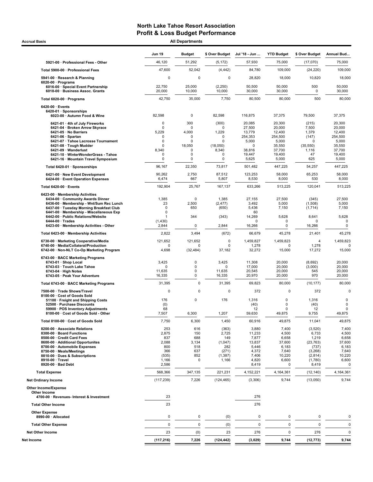| <b>Accrual Basis</b>                                                                                                        |                         | <b>All Departments</b>           |                         |                              |                                 |                      |                     |
|-----------------------------------------------------------------------------------------------------------------------------|-------------------------|----------------------------------|-------------------------|------------------------------|---------------------------------|----------------------|---------------------|
|                                                                                                                             | <b>Jun 19</b>           | <b>Budget</b>                    | \$ Over Budget          | Jul '18 - Jun                | <b>YTD Budget</b>               | \$ Over Budget       | Annual Bud          |
| 5921-00 · Professional Fees - Other                                                                                         | 46,120                  | 51,292                           | (5, 172)                | 57,930                       | 75,000                          | (17,070)             | 75,000              |
| Total 5900-00 · Professional Fees                                                                                           | 47,600                  | 52,042                           | (4, 442)                | 84,780                       | 109,000                         | (24, 220)            | 109,000             |
| 5941-00 · Research & Planning                                                                                               | 0                       | 0                                | 0                       | 28,820                       | 18,000                          | 10,820               | 18,000              |
| $6020-00 \cdot$ Programs<br>6016-00 · Special Event Partnership                                                             | 22,750                  | 25,000                           | (2, 250)                | 50,500                       | 50,000                          | 500                  | 50,000              |
| 6018-00 · Business Assoc. Grants                                                                                            | 20,000                  | 10,000                           | 10,000                  | 30,000                       | 30,000                          | 0                    | 30,000              |
| Total 6020-00 · Programs                                                                                                    | 42,750                  | 35,000                           | 7,750                   | 80,500                       | 80,000                          | 500                  | 80,000              |
| 6420-00 · Events<br>6420-01 · Sponsorships                                                                                  |                         |                                  |                         |                              |                                 |                      |                     |
| 6023-00 · Autumn Food & Wine                                                                                                | 82,598                  | $\mathbf 0$                      | 82,598                  | 116,875                      | 37,375                          | 79,500               | 37,375              |
| 6421-01 · 4th of July Fireworks                                                                                             | $\mathbf 0$             | 300                              | (300)                   | 20,085                       | 20,300                          | (215)                | 20,300              |
| 6421-04 · Broken Arrow Skyrace<br>6421-05 · No Barriers                                                                     | $\mathbf 0$<br>5,229    | $\mathbf 0$<br>4,000             | 0<br>1,229              | 27,500<br>13,779             | 20,000<br>12,400                | 7,500<br>1,379       | 20,000<br>12,400    |
| $6421-06 \cdot$ Spartan                                                                                                     | $\Omega$<br>$\mathbf 0$ | $\mathbf 0$<br>$\mathbf 0$       | $\Omega$<br>0           | 254,353<br>5,000             | 254,500<br>5,000                | (147)<br>$\Omega$    | 254,500             |
| 6421-07 · Tahoe Lacrosse Tournament<br>6421-08 · Tough Mudder                                                               | $\mathbf 0$             | 18,050                           | (18,050)                | $\mathbf 0$                  | 35,550                          | (35, 550)            | 5,000<br>35,550     |
| 6421-09 · Wanderlust<br>6421-10 · WinterWonderGrass - Tahoe                                                                 | 8,340<br>0              | $\mathbf 0$<br>0                 | 8,340<br>0              | 38,816<br>19,447             | 37,700<br>19,400                | 1,116<br>47          | 37,700<br>19,400    |
| 6421-16 · Mountain Travel Symposium                                                                                         | $\mathbf 0$             | 0                                | 0                       | 5,625                        | 5,000                           | 625                  | 5,000               |
| Total 6420-01 · Sponsorships                                                                                                | 96,167                  | 22,350                           | 73,817                  | 501,482                      | 447,225                         | 54,257               | 447,225             |
| 6421-00 · New Event Development<br>6424-00 · Event Operation Expenses                                                       | 90,262<br>6,474         | 2,750<br>667                     | 87,512<br>5,807         | 123,253<br>8,530             | 58,000<br>8,000                 | 65,253<br>530        | 58,000<br>8,000     |
| Total 6420-00 · Events                                                                                                      | 192,904                 | 25,767                           | 167,137                 | 633,266                      | 513,225                         | 120,041              | 513,225             |
| 6423-00 · Membership Activities                                                                                             |                         |                                  |                         |                              |                                 |                      |                     |
| 6434-00 Community Awards Dinner<br>6436-00 · Membership - Wnt/Sum Rec Lunch                                                 | 1,385<br>23             | 0<br>2,500                       | 1,385<br>(2, 477)       | 27,155<br>3,492              | 27,500<br>5,000                 | (345)<br>(1,508)     | 27,500<br>5,000     |
| 6437-00 · Tuesday Morning Breakfast Club                                                                                    | $\mathbf 0$             | 650                              | (650)                   | 5,436                        | 7,150                           | (1,714)              | 7,150               |
| 6441-00 · Membership - Miscellaneous Exp<br>6442-00 · Public Relations/Website                                              | $\mathbf 0$             | 344                              | (343)                   | 60<br>14,269                 | 5,628                           | 8,641                | 5,628               |
| $6444-00 \cdot Trades$                                                                                                      | (1,430)                 |                                  |                         | $\mathbf 0$                  | $\Omega$                        | 0                    | $\mathbf 0$         |
| 6423-00 · Membership Activities - Other                                                                                     | 2,844                   | 0                                | 2,844                   | 16,266                       | 0                               | 16,266               | $\mathbf 0$         |
| Total 6423-00 · Membership Activities                                                                                       | 2,822                   | 3,494                            | (672)                   | 66,679                       | 45,278                          | 21,401               | 45,278              |
| 6730-00 · Marketing Cooperative/Media<br>6740-00 · Media/Collateral/Production<br>6742-00 · Non-NLT Co-Op Marketing Program | 121,652<br>0<br>4,698   | 121,652<br>$\Omega$<br>(32, 484) | 0<br>$\Omega$<br>37,182 | 1,459,827<br>1,278<br>32,272 | 1,459,823<br>$\Omega$<br>15,000 | 4<br>1,278<br>17,272 | 1,459,823<br>15,000 |
| 6743-00 · BACC Marketing Programs                                                                                           |                         |                                  |                         |                              |                                 |                      |                     |
| $6743-01 \cdot$ Shop Local                                                                                                  | 3,425<br>0              | 0<br>0                           | 3,425<br>0              | 11,308<br>17,000             | 20,000<br>20,000                | (8,692)<br>(3,000)   | 20,000<br>20,000    |
| 6743-03 · Touch Lake Tahoe<br>6743-04 · High Notes                                                                          | 11,635                  | 0                                | 11,635                  | 20,545                       | 20,000                          | 545                  | 20,000              |
| 6743-05 · Peak Your Adventure                                                                                               | 16,335                  | 0                                | 16,335                  | 20,970                       | 20,000                          | 970                  | 20,000              |
| Total 6743-00 · BACC Marketing Programs                                                                                     | 31,395                  | 0                                | 31,395                  | 69,823                       | 80,000                          | (10, 177)            | 80,000              |
| 7500-00 · Trade Shows/Travel<br>8100-00 · Cost of Goods Sold                                                                | 0                       | 0                                | $\mathbf 0$             | 372                          | $\mathbf 0$                     | 372                  | $\Omega$            |
| 51100 · Freight and Shipping Costs                                                                                          | 176                     | 0                                | 176                     | 1,316                        | 0                               | 1,316                | 0                   |
| 52500 · Purchase Discounts<br>59900 · POS Inventory Adjustments                                                             | (0)<br>68               |                                  |                         | (40)<br>12                   | 0<br>$\Omega$                   | (40)<br>12           | $\mathbf 0$<br>0    |
| 8100-00 · Cost of Goods Sold - Other                                                                                        | 7,507                   | 6,300                            | 1,207                   | 59,630                       | 49,875                          | 9,755                | 49,875              |
| Total 8100-00 · Cost of Goods Sold                                                                                          | 7,750                   | 6,300                            | 1,450                   | 60,916                       | 49,875                          | 11,041               | 49,875              |
| 8200-00 · Associate Relations<br>8300-00 · Board Functions                                                                  | 253<br>2,875            | 616<br>150                       | (363)<br>2,725          | 3,880<br>11,233              | 7,400<br>4,500                  | (3,520)<br>6,733     | 7,400<br>4,500      |
| 8500-00 · Credit Card Fees                                                                                                  | 837                     | 688                              | 149                     | 7,877                        | 6,658                           | 1,219                | 6,658               |
| 8600-00 · Additional Opportunites<br>8700-00 · Automobile Expenses                                                          | 2,088<br>800            | 3,134<br>518                     | (1,047)<br>282          | 13,837<br>5,446              | 37,600<br>6,183                 | (23, 763)<br>(737)   | 37,600<br>6,183     |
| 8750-00 · Meals/Meetings                                                                                                    | 366                     | 637                              | (271)                   | 4,372                        | 7,640                           | (3,268)              | 7,640               |
| 8810-00 · Dues & Subscriptions<br>8910-00 · Travel                                                                          | (535)                   | 852                              | (1, 387)                | 7,406                        | 10,220                          | (2,814)              | 10,220              |
| 8920-00 · Bad Debt                                                                                                          | 1,166<br>2,586          | 0                                | 1,166                   | 4,820<br>8,419               | 6,600<br>0                      | (1,780)<br>8,419     | 6,600<br>0          |
| <b>Total Expense</b>                                                                                                        | 568,366                 | 347,135                          | 221,231                 | 4,152,221                    | 4,164,361                       | (12, 140)            | 4,164,361           |
| <b>Net Ordinary Income</b>                                                                                                  | (117, 239)              | 7,226                            | (124, 465)              | (3,306)                      | 9,744                           | (13,050)             | 9,744               |
| Other Income/Expense<br>Other Income                                                                                        |                         |                                  |                         |                              |                                 |                      |                     |
| 4700-00 · Revenues- Interest & Investment                                                                                   | 23                      |                                  |                         | 276                          |                                 |                      |                     |
| <b>Total Other Income</b>                                                                                                   | 23                      |                                  |                         | 276                          |                                 |                      |                     |
| <b>Other Expense</b><br>8990-00 · Allocated                                                                                 | 0                       | $\pmb{0}$                        | (0)                     | 0                            | 0                               | 0                    | $\Omega$            |
| <b>Total Other Expense</b>                                                                                                  | $\pmb{0}$               | $\mathbf 0$                      | (0)                     | $\pmb{0}$                    | $\mathsf 0$                     | $\pmb{0}$            | 0                   |
| <b>Net Other Income</b>                                                                                                     | 23                      | (0)                              | 23                      | 276                          | $\mathbf 0$                     | 276                  | 0                   |
| Net Income                                                                                                                  | (117, 216)              | 7,226                            | (124, 442)              | (3,029)                      | 9,744                           | (12, 773)            | 9,744               |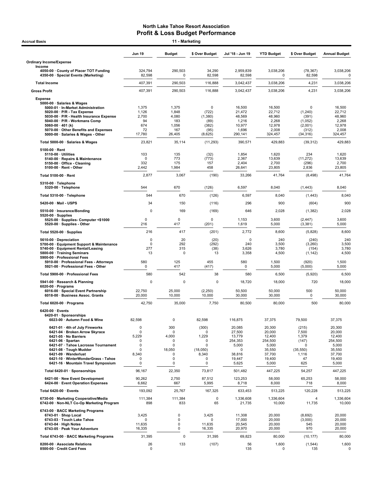| 11 - Marketing<br><b>Accrual Basis</b>                                                                                                                                                                                                                                                                         |                                                      |                                                          |                                                                                                 |                                                                                            |                                                                                       |                                                                          |                                                                                       |  |
|----------------------------------------------------------------------------------------------------------------------------------------------------------------------------------------------------------------------------------------------------------------------------------------------------------------|------------------------------------------------------|----------------------------------------------------------|-------------------------------------------------------------------------------------------------|--------------------------------------------------------------------------------------------|---------------------------------------------------------------------------------------|--------------------------------------------------------------------------|---------------------------------------------------------------------------------------|--|
|                                                                                                                                                                                                                                                                                                                | <b>Jun 19</b>                                        | <b>Budget</b>                                            | \$ Over Budget                                                                                  | Jul '18 - Jun 19                                                                           | <b>YTD Budget</b>                                                                     | \$ Over Budget                                                           | <b>Annual Budget</b>                                                                  |  |
| <b>Ordinary Income/Expense</b>                                                                                                                                                                                                                                                                                 |                                                      |                                                          |                                                                                                 |                                                                                            |                                                                                       |                                                                          |                                                                                       |  |
| Income<br>4050-00 County of Placer TOT Funding<br>4350-00 · Special Events (Marketing)                                                                                                                                                                                                                         | 324,794<br>82,598                                    | 290,503<br>0                                             | 34,290<br>82,598                                                                                | 2,959,839<br>82,598                                                                        | 3,038,206<br>$\Omega$                                                                 | (78, 367)<br>82,598                                                      | 3,038,206<br>0                                                                        |  |
| <b>Total Income</b>                                                                                                                                                                                                                                                                                            | 407,391                                              | 290,503                                                  | 116,888                                                                                         | 3,042,437                                                                                  | 3,038,206                                                                             | 4,231                                                                    | 3,038,206                                                                             |  |
| <b>Gross Profit</b>                                                                                                                                                                                                                                                                                            | 407,391                                              | 290,503                                                  | 116,888                                                                                         | 3,042,437                                                                                  | 3,038,206                                                                             | 4,231                                                                    | 3,038,206                                                                             |  |
| <b>Expense</b><br>5000-00 · Salaries & Wages<br>5000-01 · In-Market Administration<br>$5020-00 \cdot P/R$ - Tax Expense<br>5030-00 · P/R - Health Insurance Expense<br>5040-00 · P/R - Workmans Comp<br>5060-00 $\cdot$ 401 (k)<br>5070-00 · Other Benefits and Expenses<br>5000-00 · Salaries & Wages - Other | 1,375<br>1,126<br>2,700<br>94<br>674<br>72<br>17,780 | 1,375<br>1,848<br>4,080<br>183<br>1,056<br>167<br>26,405 | 0<br>(722)<br>(1,380)<br>(89)<br>(382)<br>(95)<br>(8,625)                                       | 16,500<br>21,472<br>48,569<br>1,216<br>10,977<br>1,696<br>290,141                          | 16,500<br>22,712<br>48,960<br>2,268<br>12,978<br>2,008<br>324,457                     | $\Omega$<br>(1,240)<br>(391)<br>(1,052)<br>(2,001)<br>(312)<br>(34, 316) | 16,500<br>22,712<br>48,960<br>2,268<br>12,978<br>2,008<br>324,457                     |  |
| Total 5000-00 · Salaries & Wages                                                                                                                                                                                                                                                                               | 23,821                                               | 35,114                                                   | (11, 293)                                                                                       | 390,571                                                                                    | 429,883                                                                               | (39, 312)                                                                | 429,883                                                                               |  |
| $5100-00 \cdot$ Rent<br>$5110-00 \cdot$ Utilities<br>5140-00 · Repairs & Maintenance<br>5150-00 Office - Cleaning<br>$5100-00 \cdot$ Rent - Other                                                                                                                                                              | 103<br>$\Omega$<br>332<br>2,442                      | 135<br>773<br>175<br>1,984                               | (32)<br>(773)<br>157<br>458                                                                     | 1,854<br>2,367<br>2,404<br>26,641                                                          | 1,620<br>13,639<br>2,700<br>23,805                                                    | 234<br>(11, 272)<br>(296)<br>2,836                                       | 1,620<br>13,639<br>2,700<br>23,805                                                    |  |
| Total 5100-00 · Rent                                                                                                                                                                                                                                                                                           | 2,877                                                | 3,067                                                    | (190)                                                                                           | 33,266                                                                                     | 41,764                                                                                | (8, 498)                                                                 | 41,764                                                                                |  |
| 5310-00 · Telephone<br>5320-00 · Telephone                                                                                                                                                                                                                                                                     | 544                                                  | 670                                                      | (126)                                                                                           | 6,597                                                                                      | 8,040                                                                                 | (1, 443)                                                                 | 8,040                                                                                 |  |
| Total 5310-00 · Telephone                                                                                                                                                                                                                                                                                      | 544                                                  | 670                                                      | (126)                                                                                           | 6,597                                                                                      | 8,040                                                                                 | (1, 443)                                                                 | 8,040                                                                                 |  |
| 5420-00 · Mail - USPS                                                                                                                                                                                                                                                                                          | 34                                                   | 150                                                      | (116)                                                                                           | 296                                                                                        | 900                                                                                   | (604)                                                                    | 900                                                                                   |  |
| 5510-00 · Insurance/Bonding<br>$5520-00 \cdot$ Supplies<br>5525-00 · Supplies- Computer <\$1000                                                                                                                                                                                                                | 0<br>0                                               | 169<br>0                                                 | (169)<br>0                                                                                      | 646<br>1,153                                                                               | 2,028<br>3,600                                                                        | (1, 382)<br>(2, 447)                                                     | 2,028<br>3,600                                                                        |  |
| 5520-00 · Supplies - Other                                                                                                                                                                                                                                                                                     | 216                                                  | 417                                                      | (201)                                                                                           | 1,619                                                                                      | 5,000                                                                                 | (3, 381)                                                                 | 5,000                                                                                 |  |
| Total 5520-00 · Supplies                                                                                                                                                                                                                                                                                       | 216                                                  | 417                                                      | (201)                                                                                           | 2,772                                                                                      | 8,600                                                                                 | (5,828)                                                                  | 8,600                                                                                 |  |
| 5610-00 Depreciation<br>5700-00 · Equipment Support & Maintenance<br>5740-00 · Equipment Rental/Leasing<br>5800-00 · Training Seminars<br>5900-00 · Professional Fees                                                                                                                                          | 0<br>0<br>277<br>13                                  | 20<br>292<br>315<br>O                                    | (20)<br>(292)<br>(38)<br>13                                                                     | $\mathbf 0$<br>240<br>3,626<br>3,358                                                       | 240<br>3,500<br>3,780<br>4,500                                                        | (240)<br>(3,260)<br>(154)<br>(1, 142)                                    | 240<br>3,500<br>3,780<br>4,500                                                        |  |
| 5910-00 · Professional Fees - Attorneys<br>5921-00 · Professional Fees - Other                                                                                                                                                                                                                                 | 580<br>0                                             | 125<br>417                                               | 455<br>(417)                                                                                    | 580<br>0                                                                                   | 1,500<br>5,000                                                                        | (920)<br>(5,000)                                                         | 1,500<br>5,000                                                                        |  |
| Total 5900-00 · Professional Fees                                                                                                                                                                                                                                                                              | 580                                                  | 542                                                      | 38                                                                                              | 580                                                                                        | 6,500                                                                                 | (5,920)                                                                  | 6,500                                                                                 |  |
| 5941-00 · Research & Planning<br>$6020-00 \cdot$ Programs                                                                                                                                                                                                                                                      | 0                                                    | $\mathbf 0$                                              | $\mathbf 0$                                                                                     | 18,720                                                                                     | 18,000                                                                                | 720                                                                      | 18,000                                                                                |  |
| 6016-00 · Special Event Partnership<br>6018-00 · Business Assoc. Grants                                                                                                                                                                                                                                        | 22,750<br>20,000                                     | 25,000<br>10,000                                         | (2, 250)<br>10,000                                                                              | 50,500<br>30,000                                                                           | 50,000<br>30,000                                                                      | 500<br>0                                                                 | 50,000<br>30,000                                                                      |  |
| Total 6020-00 · Programs                                                                                                                                                                                                                                                                                       | 42,750                                               | 35,000                                                   | 7,750                                                                                           | 80,500                                                                                     | 80,000                                                                                | 500                                                                      | 80,000                                                                                |  |
| 6420-00 · Events<br>6420-01 · Sponsorships<br>6023-00 · Autumn Food & Wine                                                                                                                                                                                                                                     | 82,598                                               | $\mathsf 0$                                              | 82,598                                                                                          | 116,875                                                                                    | 37,375                                                                                | 79,500                                                                   | 37,375                                                                                |  |
| 6421-01 · 4th of July Fireworks<br>6421-04 · Broken Arrow Skyrace<br>6421-05 · No Barriers<br>$6421-06 \cdot$ Spartan<br>6421-07 · Tahoe Lacrosse Tournament<br>6421-08 · Tough Mudder<br>6421-09 · Wanderlust<br>6421-10 · WinterWonderGrass - Tahoe<br>6421-16 · Mountain Travel Symposium                   | 0<br>0<br>5,229<br>0<br>0<br>0<br>8,340<br>0<br>0    | 300<br>0<br>4,000<br>0<br>0<br>18,050<br>0<br>0<br>0     | (300)<br><sup>0</sup><br>1,229<br>$\Omega$<br>$\Omega$<br>(18,050)<br>8,340<br>0<br>$\mathbf 0$ | 20,085<br>27,500<br>13,779<br>254,353<br>5,000<br>$\mathbf 0$<br>38,816<br>19,447<br>5,625 | 20,300<br>20,000<br>12,400<br>254,500<br>5,000<br>35,550<br>37,700<br>19,400<br>5,000 | (215)<br>7,500<br>1,379<br>(147)<br>0<br>(35, 550)<br>1,116<br>47<br>625 | 20,300<br>20,000<br>12,400<br>254,500<br>5,000<br>35,550<br>37,700<br>19,400<br>5,000 |  |
| Total 6420-01 · Sponsorships                                                                                                                                                                                                                                                                                   | 96,167                                               | 22,350                                                   | 73,817                                                                                          | 501,482                                                                                    | 447,225                                                                               | 54,257                                                                   | 447,225                                                                               |  |
| 6421-00 · New Event Development<br>6424-00 · Event Operation Expenses                                                                                                                                                                                                                                          | 90,262<br>6,662                                      | 2,750<br>667                                             | 87,512<br>5,995                                                                                 | 123,253<br>8,718                                                                           | 58,000<br>8,000                                                                       | 65,253<br>718                                                            | 58,000<br>8,000                                                                       |  |
| Total 6420-00 · Events                                                                                                                                                                                                                                                                                         | 193,092                                              | 25,767                                                   | 167,325                                                                                         | 633,453                                                                                    | 513,225                                                                               | 120,228                                                                  | 513,225                                                                               |  |
| 6730-00 · Marketing Cooperative/Media<br>6742-00 · Non-NLT Co-Op Marketing Program                                                                                                                                                                                                                             | 111,384<br>898                                       | 111,384<br>833                                           | 0<br>65                                                                                         | 1,336,608<br>21,735                                                                        | 1,336,604<br>10,000                                                                   | 4<br>11,735                                                              | 1,336,604<br>10,000                                                                   |  |
| 6743-00 · BACC Marketing Programs<br>6743-01 · Shop Local<br>6743-03 · Touch Lake Tahoe<br>$6743-04 \cdot$ High Notes<br>6743-05 · Peak Your Adventure                                                                                                                                                         | 3,425<br>0<br>11,635<br>16,335                       | 0<br>0<br>0<br>$\mathbf 0$                               | 3,425<br>$\Omega$<br>11,635<br>16,335                                                           | 11,308<br>17,000<br>20,545<br>20,970                                                       | 20,000<br>20,000<br>20,000<br>20,000                                                  | (8,692)<br>(3,000)<br>545<br>970                                         | 20,000<br>20,000<br>20,000<br>20,000                                                  |  |
| Total 6743-00 · BACC Marketing Programs                                                                                                                                                                                                                                                                        | 31,395                                               | 0                                                        | 31,395                                                                                          | 69,823                                                                                     | 80,000                                                                                | (10, 177)                                                                | 80,000                                                                                |  |
| 8200-00 · Associate Relations<br>8500-00 · Credit Card Fees                                                                                                                                                                                                                                                    | 26<br>$\pmb{0}$                                      | 133                                                      | (107)                                                                                           | 56<br>135                                                                                  | 1,600<br>0                                                                            | (1, 544)<br>135                                                          | 1,600<br>0                                                                            |  |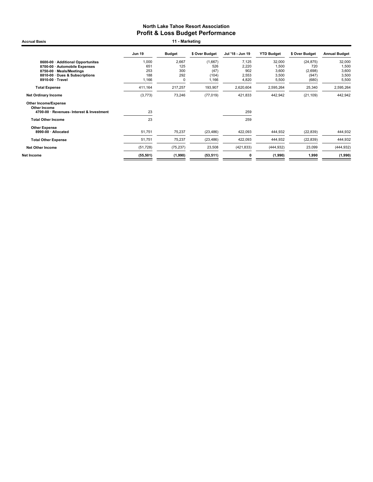Jun 19 Budget \$ Over Budget Jul '18 - Jun 19 YTD Budget \$ Over Budget Annual Budget 8600-00 · Additional Opportunites 1,000 2,667 (1,667) 7,125 32,000 (24,875) 32,000 8700-00 · Automobile Expenses 651 125 526 2,220 1,500 720 1,500 8750-00 · Meals/Meetings 253 300 (47) 902 3,600 (2,698) 3,600 8810-00 · Dues & Subscriptions 188 292 (104) 2,553 3,500 (947) 3,500 8**910-00 · Travel** 1,166 0 1,166 4,820 5,500 (680) 5,500 Total Expense 411,164 217,257 193,907 2,620,604 2,595,264 25,340 2,595,264 Net Ordinary Income 2011 109 (3,773) 243,942 (77,019 421,833 442,942 (21,109) 442,942 Other Income/Expense Other Income 4700-00 · Revenues- Interest & Investment 23 259 **Total Other Income** 259 Other Expense<br>8990-00 · Allocated 8990-00 · Allocated 51,751 75,237 (23,486) 422,093 444,932 (22,839) 444,932 Total Other Expense 51,751 75,237 (23,486) 422,093 444,932 (22,839) 444,932 Net Other Income (51,728) (75,237) 23,508 (421,833) (444,932) 23,099 (444,932) Net Income (55,501) (1,990) (53,511) 0 (1,990) 1,990 (1,990) Accrual Basis **11 - Marketing**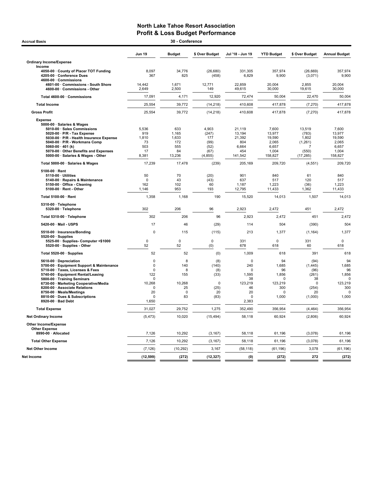| Accrual Basis                                                                          |                         | 30 - Conference   |                    |                    |                   |                      |                      |
|----------------------------------------------------------------------------------------|-------------------------|-------------------|--------------------|--------------------|-------------------|----------------------|----------------------|
|                                                                                        | <b>Jun 19</b>           | <b>Budget</b>     | \$ Over Budget     | Jul '18 - Jun 19   | <b>YTD Budget</b> | \$ Over Budget       | <b>Annual Budget</b> |
| <b>Ordinary Income/Expense</b>                                                         |                         |                   |                    |                    |                   |                      |                      |
| Income                                                                                 |                         |                   |                    |                    |                   |                      |                      |
| 4050-00 County of Placer TOT Funding<br>4205-00 Conference Dues<br>4600-00 Commissions | 8,097<br>367            | 34,776<br>825     | (26, 680)<br>(458) | 331,305<br>6,829   | 357,974<br>9,900  | (26, 669)<br>(3,071) | 357,974<br>9,900     |
| 4601-00 Commissions - South Shore<br>4600-00 · Commissions - Other                     | 14,442<br>2,649         | 1,671<br>2,500    | 12,771<br>149      | 22,859<br>49,615   | 20,004<br>30,000  | 2,855<br>19,615      | 20,004<br>30,000     |
| Total 4600-00 · Commissions                                                            | 17,091                  | 4,171             | 12,920             | 72,474             | 50,004            | 22,470               | 50,004               |
| <b>Total Income</b>                                                                    | 25,554                  | 39,772            | (14, 218)          | 410,608            | 417,878           | (7, 270)             | 417,878              |
| <b>Gross Profit</b>                                                                    | 25,554                  | 39,772            | (14, 218)          | 410,608            | 417,878           | (7, 270)             | 417,878              |
| <b>Expense</b><br>5000-00 · Salaries & Wages<br>5010-00 · Sales Commissions            | 5,536                   | 633               | 4,903              | 21,119             | 7,600             | 13,519               | 7,600                |
| 5020-00 $\cdot$ P/R - Tax Expense                                                      | 919                     | 1,165             | (247)              | 13,194             | 13,977            | (783)                | 13,977               |
| 5030-00 · P/R - Health Insurance Expense<br>5040-00 · P/R - Workmans Comp              | 1,810<br>73             | 1,633<br>172      | 177<br>(99)        | 21,392<br>804      | 19,590<br>2,065   | 1,802<br>(1, 261)    | 19,590<br>2,065      |
| 5060-00 $\cdot$ 401 (k)                                                                | 503                     | 555               | (52)               | 6,664              | 6,657             | 7                    | 6,657                |
| 5070-00 · Other Benefits and Expenses                                                  | 17                      | 84                | (67)               | 454                | 1,004             | (550)                | 1,004                |
| 5000-00 · Salaries & Wages - Other                                                     | 8,381                   | 13,236            | (4, 855)           | 141,542            | 158,827           | (17, 285)            | 158,827              |
| Total 5000-00 · Salaries & Wages                                                       | 17,239                  | 17,478            | (239)              | 205,169            | 209,720           | (4, 551)             | 209.720              |
| 5100-00 · Rent                                                                         |                         |                   |                    |                    |                   |                      |                      |
| $5110-00 \cdot$ Utilities                                                              | 50                      | 70                | (20)               | 901                | 840               | 61                   | 840                  |
| 5140-00 · Repairs & Maintenance                                                        | $\mathbf 0$             | 43                | (43)               | 637                | 517               | 120                  | 517                  |
| 5150-00 Office - Cleaning<br>$5100-00 \cdot$ Rent - Other                              | 162<br>1,146            | 102<br>953        | 60<br>193          | 1,187<br>12,795    | 1,223<br>11,433   | (36)<br>1,362        | 1,223<br>11,433      |
| Total 5100-00 · Rent                                                                   | 1,358                   | 1,168             | 190                | 15,520             | 14,013            | 1,507                | 14,013               |
| 5310-00 · Telephone<br>5320-00 · Telephone                                             | 302                     | 206               | 96                 | 2,923              | 2,472             | 451                  | 2,472                |
| Total 5310-00 · Telephone                                                              | 302                     | 206               | 96                 | 2,923              | 2,472             | 451                  | 2,472                |
| 5420-00 · Mail - USPS                                                                  | 17                      | 46                | (29)               | 114                | 504               | (390)                | 504                  |
| 5510-00 · Insurance/Bonding                                                            | $\Omega$                | 115               | (115)              | 213                | 1,377             | (1, 164)             | 1,377                |
| $5520-00 \cdot$ Supplies                                                               |                         |                   |                    |                    |                   |                      |                      |
| 5525-00 · Supplies- Computer <\$1000                                                   | $\mathbf 0$             | 0                 | 0                  | 331                | 0                 | 331                  | $\mathbf 0$          |
| 5520-00 · Supplies - Other                                                             | 52                      | 52                | (0)                | 678                | 618               | 60                   | 618                  |
| Total 5520-00 · Supplies                                                               | 52                      | 52                | (0)                | 1,009              | 618               | 391                  | 618                  |
| 5610-00 Depreciation<br>5700-00 · Equipment Support & Maintenance                      | $\mathbf 0$<br>$\Omega$ | 8<br>140          | (8)<br>(140)       | $\mathbf 0$<br>240 | 94<br>1,685       | (94)<br>(1, 445)     | 94<br>1,685          |
| 5710-00 · Taxes, Licenses & Fees                                                       | 0                       | 8                 | (8)                | 0                  | 96                | (96)                 | 96                   |
| 5740-00 · Equipment Rental/Leasing                                                     | 122                     | 155               | (33)               | 1,595              | 1,856             | (261)                | 1,856                |
| 5800-00 · Training Seminars                                                            | $\Omega$                |                   |                    | 38                 | $\mathbf 0$       | 38                   | $\Omega$             |
| 6730-00 · Marketing Cooperative/Media                                                  | 10,268                  | 10,268            | $\mathbf 0$        | 123,219            | 123,219           | 0                    | 123,219              |
| 8200-00 · Associate Relations                                                          | $\mathbf 0$             | 25                | (25)               | 46                 | 300               | (254)                | 300                  |
| 8750-00 · Meals/Meetings                                                               | 20<br>$\Omega$          | $\mathbf 0$<br>83 | 20                 | 20<br>$\mathbf 0$  | 0                 | 20                   | 0                    |
| 8810-00 Dues & Subscriptions<br>8920-00 · Bad Debt                                     | 1,650                   |                   | (83)               | 2,383              | 1,000             | (1,000)              | 1,000                |
| <b>Total Expense</b>                                                                   | 31,027                  | 29,752            | 1,275              | 352,490            | 356,954           | (4, 464)             | 356,954              |
| <b>Net Ordinary Income</b>                                                             | (5, 473)                | 10,020            | (15, 494)          | 58,118             | 60,924            | (2,806)              | 60,924               |
| Other Income/Expense                                                                   |                         |                   |                    |                    |                   |                      |                      |
| <b>Other Expense</b><br>8990-00 · Allocated                                            | 7,126                   | 10,292            | (3, 167)           | 58,118             | 61,196            | (3,078)              | 61,196               |
| <b>Total Other Expense</b>                                                             | 7,126                   | 10,292            | (3, 167)           | 58,118             | 61,196            | (3,078)              | 61,196               |
| <b>Net Other Income</b>                                                                | (7, 126)                | (10, 292)         | 3,167              | (58, 118)          | (61, 196)         | 3,078                | (61, 196)            |
| Net Income                                                                             | (12, 599)               | (272)             | (12, 327)          | (0)                | (272)             | 272                  | (272)                |
|                                                                                        |                         |                   |                    |                    |                   |                      |                      |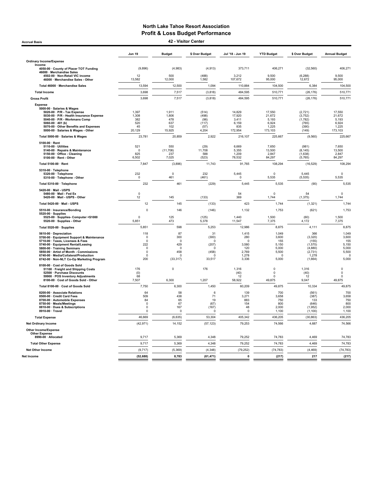Accrual Basis 42 - Visitor Center

|                                                                                                                                                                                                                                                                                                               | <b>Jun 19</b>                                                                     | <b>Budget</b>                                                     | \$ Over Budget                                                       | Jul '18 - Jun 19                                                    | <b>YTD Budget</b>                                                        | \$ Over Budget                                                                | <b>Annual Budget</b>                                                     |
|---------------------------------------------------------------------------------------------------------------------------------------------------------------------------------------------------------------------------------------------------------------------------------------------------------------|-----------------------------------------------------------------------------------|-------------------------------------------------------------------|----------------------------------------------------------------------|---------------------------------------------------------------------|--------------------------------------------------------------------------|-------------------------------------------------------------------------------|--------------------------------------------------------------------------|
| <b>Ordinary Income/Expense</b>                                                                                                                                                                                                                                                                                |                                                                                   |                                                                   |                                                                      |                                                                     |                                                                          |                                                                               |                                                                          |
| Income<br>4050-00 · County of Placer TOT Funding                                                                                                                                                                                                                                                              | (9,896)                                                                           | (4,983)                                                           | (4, 913)                                                             | 373,711                                                             | 406,271                                                                  | (32, 560)                                                                     | 406,271                                                                  |
| 46000 · Merchandise Sales<br>4502-00 · Non-Retail VIC income<br>46000 · Merchandise Sales - Other                                                                                                                                                                                                             | 12<br>13,582                                                                      | 500<br>12,000                                                     | (488)<br>1,582                                                       | 3,212<br>107,672                                                    | 9.500<br>95,000                                                          | (6, 288)<br>12,672                                                            | 9.500<br>95,000                                                          |
| Total 46000 · Merchandise Sales                                                                                                                                                                                                                                                                               | 13,594                                                                            | 12,500                                                            | 1,094                                                                | 110,884                                                             | 104,500                                                                  | 6,384                                                                         | 104,500                                                                  |
| <b>Total Income</b>                                                                                                                                                                                                                                                                                           | 3,698                                                                             | 7,517                                                             | (3,818)                                                              | 484,595                                                             | 510,771                                                                  | (26, 176)                                                                     | 510,771                                                                  |
| <b>Gross Profit</b>                                                                                                                                                                                                                                                                                           | 3,698                                                                             | 7,517                                                             | (3,818)                                                              | 484,595                                                             | 510,771                                                                  | (26, 176)                                                                     | 510,771                                                                  |
| <b>Expense</b><br>5000-00 · Salaries & Wages<br>5020-00 · P/R - Tax Expense<br>5030-00 · P/R - Health Insurance Expense<br>5040-00 · P/R - Workmans Comp<br>5060-00 $\cdot$ 401 (k)<br>5070-00 · Other Benefits and Expenses<br>5000-00 · Salaries & Wages - Other                                            | 1,397<br>1,308<br>382<br>520<br>45<br>20,129                                      | 1,911<br>1,806<br>478<br>637<br>102<br>15,925                     | (514)<br>(498)<br>(96)<br>(117)<br>(57)<br>4,204                     | 14,829<br>17,920<br>3,411<br>6,159<br>835<br>172,954                | 17,550<br>21,672<br>5,193<br>6,924<br>1,225<br>173,103                   | (2, 721)<br>(3, 752)<br>(1,782)<br>(765)<br>(390)<br>(149)                    | 17,550<br>21,672<br>5,193<br>6,924<br>1,225<br>173,103                   |
| Total 5000-00 · Salaries & Wages                                                                                                                                                                                                                                                                              | 23,781                                                                            | 20,859                                                            | 2,922                                                                | 216,107                                                             | 225,667                                                                  | (9, 560)                                                                      | 225,667                                                                  |
| $5100-00 \cdot$ Rent<br>5110-00 · Utilities<br>5140-00 · Repairs & Maintenance<br>5150-00 · Office - Cleaning<br>5100-00 · Rent - Other                                                                                                                                                                       | 521<br>$\Omega$<br>825<br>6,502                                                   | 550<br>(11, 708)<br>237<br>7,025                                  | (29)<br>11,708<br>588<br>(523)                                       | 6,669<br>5,355<br>1,209<br>78.532                                   | 7,650<br>13,500<br>2,847<br>84,297                                       | (981)<br>(8, 145)<br>(1,638)<br>(5, 765)                                      | 7,650<br>13,500<br>2,847<br>84,297                                       |
| Total 5100-00 · Rent                                                                                                                                                                                                                                                                                          | 7,847                                                                             | (3,896)                                                           | 11,743                                                               | 91,765                                                              | 108,294                                                                  | (16, 529)                                                                     | 108,294                                                                  |
| 5310-00 · Telephone<br>5320-00 · Telephone<br>5310-00 · Telephone - Other                                                                                                                                                                                                                                     | 232<br>$\pmb{0}$                                                                  | $\pmb{0}$<br>461                                                  | 232<br>(461)                                                         | 5,445<br>$\overline{0}$                                             | $\pmb{0}$<br>5,535                                                       | 5,445<br>(5, 535)                                                             | $\mathbf 0$<br>5,535                                                     |
| Total 5310-00 · Telephone                                                                                                                                                                                                                                                                                     | 232                                                                               | 461                                                               | (229)                                                                | 5,445                                                               | 5,535                                                                    | (90)                                                                          | 5,535                                                                    |
| 5420-00 · Mail - USPS<br>5480-00 · Mail - Fed Ex<br>5420-00 · Mail - USPS - Other                                                                                                                                                                                                                             | $\pmb{0}$<br>12                                                                   | 145                                                               | (133)                                                                | 54<br>369                                                           | $\mathbf 0$<br>1,744                                                     | 54<br>(1, 375)                                                                | $\mathbf 0$<br>1,744                                                     |
| Total 5420-00 · Mail - USPS                                                                                                                                                                                                                                                                                   | 12                                                                                | 145                                                               | (133)                                                                | 423                                                                 | 1,744                                                                    | (1, 321)                                                                      | 1,744                                                                    |
| 5510-00 · Insurance/Bonding                                                                                                                                                                                                                                                                                   | $\mathbf 0$                                                                       | 146                                                               | (146)                                                                | 1,132                                                               | 1,753                                                                    | (621)                                                                         | 1,753                                                                    |
| 5520-00 · Supplies<br>5525-00 Supplies- Computer <\$1000<br>5520-00 · Supplies - Other                                                                                                                                                                                                                        | $\Omega$<br>5,851                                                                 | 125<br>473                                                        | (125)<br>5,378                                                       | 1.440<br>11,547                                                     | 1,500<br>7,375                                                           | (60)<br>4,172                                                                 | 1.500<br>7,375                                                           |
| Total 5520-00 · Supplies                                                                                                                                                                                                                                                                                      | 5,851                                                                             | 598                                                               | 5,253                                                                | 12,986                                                              | 8,875                                                                    | 4,111                                                                         | 8,875                                                                    |
| 5610-00 · Depreciation<br>5700-00 · Equipment Support & Maintenance<br>5710-00 · Taxes, Licenses & Fees<br>5740-00 · Equipment Rental/Leasing<br>5800-00 · Training Seminars<br>5850-00 · Artist of Month - Commissions<br>6740-00 · Media/Collateral/Production<br>6742-00 · Non-NLT Co-Op Marketing Program | 118<br>$\Omega$<br>$\Omega$<br>222<br>$\Omega$<br>$\pmb{0}$<br>$\mathbf 0$<br>200 | 87<br>300<br>0<br>429<br>$\Omega$<br>458<br>$\Omega$<br>(33, 317) | 31<br>(300)<br>0<br>(207)<br>$\Omega$<br>(458)<br>$\Omega$<br>33,517 | 1,415<br>280<br>$\Omega$<br>3,580<br>120<br>2,769<br>1,278<br>3,336 | 1,049<br>3.600<br>155<br>5,150<br>5,000<br>5,500<br>$\mathbf 0$<br>5,000 | 366<br>(3, 320)<br>(155)<br>(1,570)<br>(4,880)<br>(2,731)<br>1,278<br>(1,664) | 1,049<br>3.600<br>155<br>5,150<br>5,000<br>5,500<br>$\mathbf 0$<br>5,000 |
| 8100-00 · Cost of Goods Sold<br>51100 · Freight and Shipping Costs<br>52500 · Purchase Discounts<br>59900 · POS Inventory Adjustments<br>8100-00 · Cost of Goods Sold - Other                                                                                                                                 | 176<br>(0)<br>68<br>7,507                                                         | $\overline{0}$<br>6,300                                           | 176<br>1,207                                                         | 1,316<br>(40)<br>12<br>58,922                                       | $\Omega$<br>$\Omega$<br>$\Omega$<br>49,875                               | 1,316<br>(40)<br>12<br>9,047                                                  | $\pmb{0}$<br>$\mathbf 0$<br>$\Omega$<br>49,875                           |
| Total 8100-00 · Cost of Goods Sold                                                                                                                                                                                                                                                                            | 7,750                                                                             | 6,300                                                             | 1,450                                                                | 60,209                                                              | 49,875                                                                   | 10,334                                                                        | 49,875                                                                   |
| 8200-00 · Associate Relations<br>8500-00 · Credit Card Fees<br>8700-00 · Automobile Expenses<br>8750-00 · Meals/Meetings<br>8810-00 · Dues & Subscriptions<br>8910-00 · Travel                                                                                                                                | 64<br>509<br>84<br>$^{\circ}$<br>$\pmb{0}$<br>$\Omega$                            | 58<br>438<br>65<br>67<br>167<br>$^{\circ}$                        | 6<br>71<br>19<br>(67)<br>(167)<br>$^{\circ}$                         | 139<br>3,271<br>883<br>154<br>48<br>$\mathbf 0$                     | 700<br>3,658<br>750<br>800<br>2,000<br>1,100                             | (561)<br>(387)<br>133<br>(646)<br>(1,952)<br>(1, 100)                         | 700<br>3,658<br>750<br>800<br>2,000<br>1,100                             |
| <b>Total Expense</b>                                                                                                                                                                                                                                                                                          | 46,669                                                                            | (6,635)                                                           | 53,304                                                               | 405,342                                                             | 436,205                                                                  | (30, 863)                                                                     | 436,205                                                                  |
| Net Ordinary Income                                                                                                                                                                                                                                                                                           | (42, 971)                                                                         | 14,152                                                            | (57, 123)                                                            | 79,253                                                              | 74,566                                                                   | 4,687                                                                         | 74,566                                                                   |
| <b>Other Income/Expense</b><br><b>Other Expense</b><br>8990-00 · Allocated                                                                                                                                                                                                                                    | 9,717                                                                             | 5,369                                                             | 4,348                                                                | 79,252                                                              | 74,783                                                                   | 4,469                                                                         | 74,783                                                                   |
| <b>Total Other Expense</b>                                                                                                                                                                                                                                                                                    | 9,717                                                                             | 5,369                                                             | 4,348                                                                | 79,252                                                              | 74,783                                                                   | 4,469                                                                         | 74,783                                                                   |
| Net Other Income                                                                                                                                                                                                                                                                                              | (9, 717)                                                                          | (5,369)                                                           | (4, 348)                                                             | (79, 252)                                                           | (74, 783)                                                                | (4, 469)                                                                      | (74, 783)                                                                |
| Net Income                                                                                                                                                                                                                                                                                                    | (52, 688)                                                                         | 8,783                                                             | (61, 471)                                                            | $\pmb{0}$                                                           | (217)                                                                    | 217                                                                           | (217)                                                                    |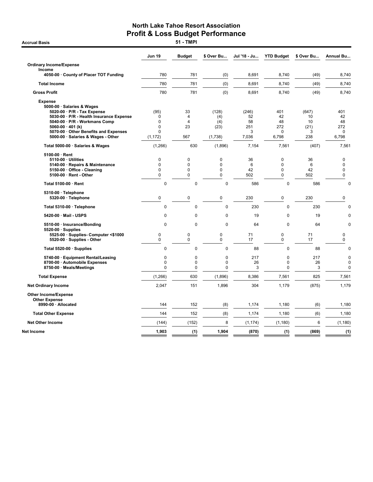|                                                                                                                                         | Jun 19                                         | <b>Budget</b>                        | \$ Over Bu                                | Jul '18 - Ju            | <b>YTD Budget</b>                       | \$ Over Bu             | <b>Annual Bu</b>                          |
|-----------------------------------------------------------------------------------------------------------------------------------------|------------------------------------------------|--------------------------------------|-------------------------------------------|-------------------------|-----------------------------------------|------------------------|-------------------------------------------|
| <b>Ordinary Income/Expense</b>                                                                                                          |                                                |                                      |                                           |                         |                                         |                        |                                           |
| Income<br>4050-00 · County of Placer TOT Funding                                                                                        | 780                                            | 781                                  | (0)                                       | 8.691                   | 8,740                                   | (49)                   | 8,740                                     |
| <b>Total Income</b>                                                                                                                     | 780                                            | 781                                  | (0)                                       | 8,691                   | 8,740                                   | (49)                   | 8,740                                     |
| <b>Gross Profit</b>                                                                                                                     | 780                                            | 781                                  | (0)                                       | 8,691                   | 8,740                                   | (49)                   | 8,740                                     |
| <b>Expense</b><br>5000-00 · Salaries & Wages<br>5020-00 · P/R - Tax Expense<br>5030-00 · P/R - Health Insurance Expense                 | (95)<br>0                                      | 33<br>$\overline{4}$                 | (128)                                     | (246)<br>52             | 401<br>42                               | (647)<br>10            | 401<br>42                                 |
| 5040-00 · P/R - Workmans Comp<br>5060-00 $\cdot$ 401 (k)<br>5070-00 Other Benefits and Expenses<br>5000-00 · Salaries & Wages - Other   | $\mathbf 0$<br>0<br>0<br>(1, 172)              | $\overline{4}$<br>23<br>567          | (4)<br>(4)<br>(23)<br>(1,738)             | 58<br>251<br>3<br>7,036 | 48<br>272<br>$\mathbf 0$<br>6,798       | 10<br>(21)<br>3<br>238 | 48<br>272<br>0<br>6,798                   |
| Total 5000-00 · Salaries & Wages                                                                                                        | (1,266)                                        | 630                                  | (1,896)                                   | 7,154                   | 7,561                                   | (407)                  | 7,561                                     |
| $5100-00 \cdot$ Rent<br>5110-00 · Utilities<br>5140-00 · Repairs & Maintenance<br>5150-00 · Office - Cleaning<br>5100-00 · Rent - Other | 0<br>$\mathbf 0$<br>$\mathbf 0$<br>$\mathbf 0$ | $\mathbf 0$<br>$\mathbf 0$<br>0<br>0 | 0<br>0<br>0<br>0                          | 36<br>6<br>42<br>502    | 0<br>0<br>0<br>0                        | 36<br>6<br>42<br>502   | 0<br>0<br>0<br>0                          |
| Total 5100-00 · Rent                                                                                                                    | $\pmb{0}$                                      | $\pmb{0}$                            | $\mathbf 0$                               | 586                     | $\pmb{0}$                               | 586                    | $\mathbf 0$                               |
| 5310-00 · Telephone<br>5320-00 · Telephone                                                                                              | $\mathbf 0$                                    | $\mathbf 0$                          | 0                                         | 230                     | 0                                       | 230                    | 0                                         |
| Total 5310-00 · Telephone                                                                                                               | 0                                              | $\mathbf 0$                          | $\mathbf 0$                               | 230                     | $\mathbf 0$                             | 230                    | $\mathbf 0$                               |
| 5420-00 · Mail - USPS                                                                                                                   | 0                                              | $\mathbf 0$                          | $\mathbf 0$                               | 19                      | $\mathbf 0$                             | 19                     | $\mathbf 0$                               |
| 5510-00 · Insurance/Bonding<br>$5520-00 \cdot$ Supplies                                                                                 | $\mathbf 0$                                    | $\overline{0}$                       | $\mathbf 0$                               | 64                      | $\mathbf 0$                             | 64                     | $\mathbf 0$                               |
| 5525-00 · Supplies- Computer <\$1000<br>5520-00 · Supplies - Other                                                                      | 0<br>$\mathbf 0$                               | 0<br>$\mathbf 0$                     | 0<br>0                                    | 71<br>17                | 0<br>$\mathbf 0$                        | 71<br>17               | 0<br>0                                    |
| Total 5520-00 · Supplies                                                                                                                | 0                                              | $\pmb{0}$                            | $\mathbf 0$                               | 88                      | $\pmb{0}$                               | 88                     | $\mathbf 0$                               |
| 5740-00 · Equipment Rental/Leasing<br>8700-00 · Automobile Expenses<br>8750-00 · Meals/Meetings                                         | 0<br>0<br>0                                    | $\mathbf 0$<br>0<br>$\pmb{0}$        | $\mathbf 0$<br>$\mathbf 0$<br>$\mathbf 0$ | 217<br>26<br>3          | $\mathbf 0$<br>$\pmb{0}$<br>$\mathbf 0$ | 217<br>26<br>3         | $\mathbf 0$<br>$\mathbf 0$<br>$\mathbf 0$ |
| <b>Total Expense</b>                                                                                                                    | (1,266)                                        | 630                                  | (1,896)                                   | 8,386                   | 7,561                                   | 825                    | 7,561                                     |
| <b>Net Ordinary Income</b>                                                                                                              | 2,047                                          | 151                                  | 1,896                                     | 304                     | 1,179                                   | (875)                  | 1,179                                     |
| <b>Other Income/Expense</b><br><b>Other Expense</b>                                                                                     |                                                |                                      |                                           |                         |                                         |                        |                                           |
| 8990-00 · Allocated                                                                                                                     | 144                                            | 152                                  | (8)                                       | 1,174                   | 1,180                                   | (6)                    | 1,180                                     |
| <b>Total Other Expense</b>                                                                                                              | 144                                            | 152                                  | (8)                                       | 1,174                   | 1,180                                   | (6)                    | 1,180                                     |
| <b>Net Other Income</b>                                                                                                                 | (144)                                          | (152)                                | 8                                         | (1, 174)                | (1, 180)                                | 6                      | (1, 180)                                  |
| Net Income                                                                                                                              | 1,903                                          | (1)                                  | 1,904                                     | (870)                   | (1)                                     | (869)                  | (1)                                       |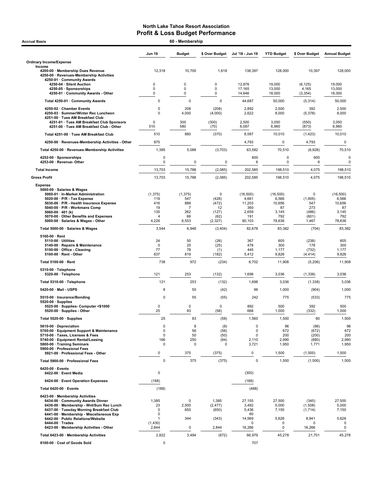| 60 - Membership<br><b>Accrual Basis</b>                                                                               |                                |                       |                           |                            |                            |                               |                            |  |
|-----------------------------------------------------------------------------------------------------------------------|--------------------------------|-----------------------|---------------------------|----------------------------|----------------------------|-------------------------------|----------------------------|--|
|                                                                                                                       | <b>Jun 19</b>                  | <b>Budget</b>         | \$ Over Budget            | Jul '18 - Jun 19           | <b>YTD Budget</b>          | \$ Over Budget                | <b>Annual Budget</b>       |  |
| <b>Ordinary Income/Expense</b>                                                                                        |                                |                       |                           |                            |                            |                               |                            |  |
| Income<br>4200-00 · Membership Dues Revenue<br>4250-00 · Revenues-Membership Activities<br>4250-01 · Community Awards | 12,318                         | 10,700                | 1,618                     | 138,397                    | 128,000                    | 10,397                        | 128,000                    |  |
| 4250-04 · Silent Auction<br>4250-05 · Sponsorships                                                                    | 0<br>0<br>0                    | $\mathbf 0$<br>0<br>0 | 0<br>0<br>0               | 12,876<br>17,165<br>14,646 | 19,000<br>13,000<br>18,000 | (6, 125)<br>4,165<br>(3, 354) | 19,000<br>13,000<br>18,000 |  |
| 4250-01 Community Awards - Other<br>Total 4250-01 · Community Awards                                                  | 0                              | 0                     | $\mathsf 0$               | 44,687                     | 50,000                     | (5,314)                       | 50,000                     |  |
|                                                                                                                       | $\mathbf 0$                    |                       |                           |                            |                            |                               |                            |  |
| 4250-02 · Chamber Events<br>4250-03 · Summer/Winter Rec Luncheon<br>4251-00 · Tues AM Breakfast Club                  | $\Omega$                       | 208<br>4,000          | (208)<br>(4,000)          | 2,892<br>2,622             | 2,500<br>8,000             | 392<br>(5,378)                | 2,500<br>8,000             |  |
| 4251-01 · Tues AM Breakfast Club Sponsors<br>4251-00 · Tues AM Breakfast Club - Other                                 | 0<br>510                       | 300<br>580            | (300)<br>(70)             | 2,500<br>6,087             | 3,050<br>6,960             | (550)<br>(873)                | 3,050<br>6,960             |  |
| Total 4251-00 · Tues AM Breakfast Club                                                                                | 510                            | 880                   | (370)                     | 8,587                      | 10,010                     | (1, 423)                      | 10,010                     |  |
| 4250-00 · Revenues-Membership Activities - Other                                                                      | 875                            |                       |                           | 4,793                      | $\mathsf 0$                | 4,793                         | $\mathbf 0$                |  |
| Total 4250-00 · Revenues-Membership Activities                                                                        | 1,385                          | 5,088                 | (3,703)                   | 63,582                     | 70,510                     | (6,928)                       | 70,510                     |  |
| 4252-00 · Sponsorships<br>4253-00 · Revenue- Other                                                                    | 0<br>0                         | $\mathbf 0$           | 0                         | 600<br>6                   | $\mathbf 0$<br>0           | 600<br>6                      |                            |  |
| <b>Total Income</b>                                                                                                   | 13,703                         | 15,788                | (2,085)                   | 202,585                    | 198.510                    | 4,075                         | 198.510                    |  |
| <b>Gross Profit</b>                                                                                                   | 13,703                         | 15,788                | (2,085)                   | 202,585                    | 198,510                    | 4,075                         | 198,510                    |  |
| <b>Expense</b><br>5000-00 · Salaries & Wages<br>5000-01 · In-Market Administration                                    | (1, 375)                       | (1, 375)              | 0                         | (16, 500)                  | (16, 500)                  | 0                             | (16,500)                   |  |
| 5020-00 · P/R - Tax Expense<br>5030-00 · P/R - Health Insurance Expense                                               | 119<br>416                     | 547<br>888            | (428)<br>(472)            | 4,661<br>11,203            | 6,566<br>10,656            | (1,905)<br>547                | 6,566<br>10,656            |  |
| 5040-00 · P/R - Workmans Comp                                                                                         | 19                             | 7                     | 12                        | 360                        | 87                         | 273                           | 87                         |  |
| 5060-00 $\cdot$ 401 (k)<br>5070-00 Other Benefits and Expenses<br>5000-00 · Salaries & Wages - Other                  | 135<br>$\overline{4}$<br>4,226 | 262<br>66<br>6,553    | (127)<br>(62)<br>(2, 327) | 2,659<br>191<br>80,103     | 3,145<br>792<br>78,636     | (486)<br>(601)<br>1,467       | 3,145<br>792<br>78,636     |  |
| Total 5000-00 · Salaries & Wages                                                                                      | 3,544                          | 6,948                 | (3,404)                   | 82,678                     | 83,382                     | (704)                         | 83,382                     |  |
| $5100-00 \cdot$ Rent                                                                                                  |                                |                       |                           |                            |                            |                               |                            |  |
| $5110-00 \cdot$ Utilities<br>5140-00 · Repairs & Maintenance                                                          | 24<br>$\mathbf 0$              | 50<br>25              | (26)<br>(25)              | 367<br>478                 | 605<br>300                 | (238)<br>178                  | 605<br>300                 |  |
| 5150-00 · Office - Cleaning<br>5100-00 · Rent - Other                                                                 | 77<br>637                      | 78<br>819             | (1)<br>(182)              | 445<br>5,412               | 1,177<br>9,826             | (732)<br>(4, 414)             | 1,177<br>9,826             |  |
| Total 5100-00 · Rent                                                                                                  | 738                            | 972                   | (234)                     | 6,702                      | 11,908                     | (5,206)                       | 11,908                     |  |
| 5310-00 · Telephone                                                                                                   |                                |                       |                           |                            |                            |                               |                            |  |
| 5320-00 · Telephone                                                                                                   | 121                            | 253                   | (132)                     | 1,698                      | 3,036                      | (1, 338)                      | 3,036                      |  |
| Total 5310-00 · Telephone                                                                                             | 121                            | 253                   | (132)                     | 1,698                      | 3,036                      | (1,338)                       | 3,036                      |  |
| 5420-00 · Mail - USPS                                                                                                 | 8                              | 50                    | (42)                      | 96                         | 1,000                      | (904)                         | 1,000                      |  |
| 5510-00 · Insurance/Bonding<br>$5520-00 \cdot$ Supplies                                                               | 0                              | 55                    | (55)                      | 242                        | 775                        | (533)                         | 775                        |  |
| 5525-00 · Supplies- Computer <\$1000<br>5520-00 · Supplies - Other                                                    | 0<br>25                        | 0<br>83               | $\mathbf 0$<br>(58)       | 892<br>668                 | 500<br>1,000               | 392<br>(332)                  | 500<br>1,000               |  |
| Total 5520-00 · Supplies                                                                                              | 25                             | 83                    | (58)                      | 1,560                      | 1,500                      | 60                            | 1,500                      |  |
| 5610-00 Depreciation                                                                                                  | 0                              | 8                     | (8)                       | 0                          | 96                         | (96)                          |                            |  |
| 5700-00 · Equipment Support & Maintenance<br>5710-00 · Taxes, Licenses & Fees                                         | 0<br>0                         | 56<br>50              | (56)<br>(50)              | 0<br>0                     | 672<br>200                 | (672)<br>(200)                | 672<br>200                 |  |
| 5740-00 · Equipment Rental/Leasing<br>5800-00 · Training Seminars                                                     | 166<br>0                       | 250<br>0              | (84)<br>0                 | 2,110                      | 2,990<br>1,950             | (880)                         | 2,990<br>1,950             |  |
| 5900-00 · Professional Fees                                                                                           |                                |                       |                           | 3,721                      |                            | 1,771                         |                            |  |
| 5921-00 · Professional Fees - Other                                                                                   | 0                              | 375                   | (375)                     | 0                          | 1,500                      | (1,500)                       | 1,500                      |  |
| Total 5900-00 · Professional Fees<br>6420-00 · Events                                                                 | 0                              | 375                   | (375)                     | 0                          | 1,500                      | (1,500)                       | 1,500                      |  |
| 6422-00 · Event Media                                                                                                 | 0                              |                       |                           | (300)                      |                            |                               |                            |  |
| 6424-00 · Event Operation Expenses                                                                                    | (188)                          |                       |                           | (188)                      |                            |                               |                            |  |
| Total 6420-00 · Events                                                                                                | (188)                          |                       |                           | (488)                      |                            |                               |                            |  |
| 6423-00 · Membership Activities<br>6434-00 Community Awards Dinner                                                    | 1,385                          | 0                     | 1,385                     | 27,155                     | 27,500                     | (345)                         | 27,500                     |  |
| 6436-00 · Membership - Wnt/Sum Rec Lunch                                                                              | 23                             | 2,500                 | (2, 477)                  | 3,492                      | 5,000                      | (1,508)                       | 5,000                      |  |
| 6437-00 · Tuesday Morning Breakfast Club<br>6441-00 Membership - Miscellaneous Exp                                    | $\pmb{0}$<br>0                 | 650                   | (650)                     | 5,436<br>60                | 7,150                      | (1,714)                       | 7,150                      |  |
| 6442-00 · Public Relations/Website                                                                                    | $\mathbf{1}$                   | 344                   | (343)                     | 14,569                     | 5,628                      | 8,941<br>O                    | 5,628                      |  |
| 6444-00 · Trades<br>6423-00 · Membership Activities - Other                                                           | (1, 430)<br>2,844              | 0                     | 2,844                     | 0<br>16,266                | 0<br>$\mathsf 0$           | 16,266                        | 0<br>0                     |  |
| Total 6423-00 · Membership Activities                                                                                 | 2,822                          | 3,494                 | (672)                     | 66,979                     | 45,278                     | 21,701                        | 45,278                     |  |
| 8100-00 · Cost of Goods Sold                                                                                          | 0                              |                       |                           | 707                        |                            |                               |                            |  |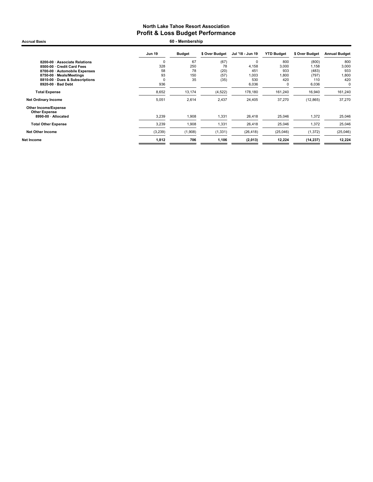Accrual Basis **60 - Membership** 

|                                                     | <b>Jun 19</b> | <b>Budget</b> | \$ Over Budget | Jul '18 - Jun 19 | <b>YTD Budget</b> | \$ Over Budget | <b>Annual Budget</b> |
|-----------------------------------------------------|---------------|---------------|----------------|------------------|-------------------|----------------|----------------------|
| 8200-00 · Associate Relations                       | $\mathbf 0$   | 67            | (67)           | $\mathbf 0$      | 800               | (800)          | 800                  |
| 8500-00 · Credit Card Fees                          | 328           | 250           | 78             | 4,158            | 3,000             | 1.158          | 3,000                |
| 8700-00 · Automobile Expenses                       | 58            | 78            | (20)           | 451              | 933               | (483)          | 933                  |
| 8750-00 · Meals/Meetings                            | 93            | 150           | (57)           | 1,003            | 1,800             | (797)          | 1,800                |
| 8810-00 · Dues & Subscriptions                      | $\Omega$      | 35            | (35)           | 530              | 420               | 110            | 420                  |
| 8920-00 · Bad Debt                                  | 936           |               |                | 6,036            | 0                 | 6,036          | 0                    |
| <b>Total Expense</b>                                | 8,652         | 13,174        | (4, 522)       | 178,180          | 161,240           | 16,940         | 161,240              |
| <b>Net Ordinary Income</b>                          | 5,051         | 2,614         | 2,437          | 24,405           | 37,270            | (12, 865)      | 37,270               |
| <b>Other Income/Expense</b><br><b>Other Expense</b> |               |               |                |                  |                   |                |                      |
| 8990-00 · Allocated                                 | 3,239         | 1,908         | 1,331          | 26,418           | 25,046            | 1,372          | 25,046               |
| <b>Total Other Expense</b>                          | 3,239         | 1,908         | 1,331          | 26,418           | 25,046            | 1,372          | 25,046               |
| <b>Net Other Income</b>                             | (3,239)       | (1,908)       | (1, 331)       | (26, 418)        | (25,046)          | (1, 372)       | (25,046)             |
| Net Income                                          | 1,812         | 706           | 1,106          | (2,013)          | 12,224            | (14, 237)      | 12,224               |
|                                                     |               |               |                |                  |                   |                |                      |